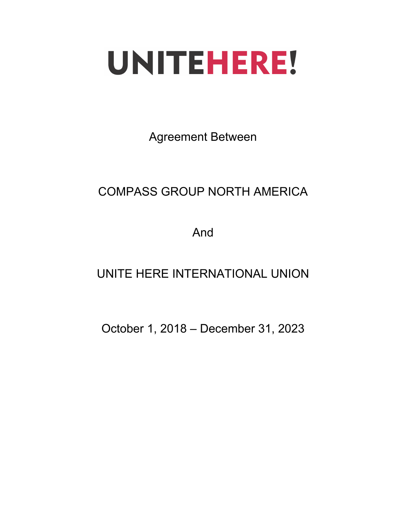# UNITEHERE!

Agreement Between

# COMPASS GROUP NORTH AMERICA

And

## UNITE HERE INTERNATIONAL UNION

October 1, 2018 – December 31, 2023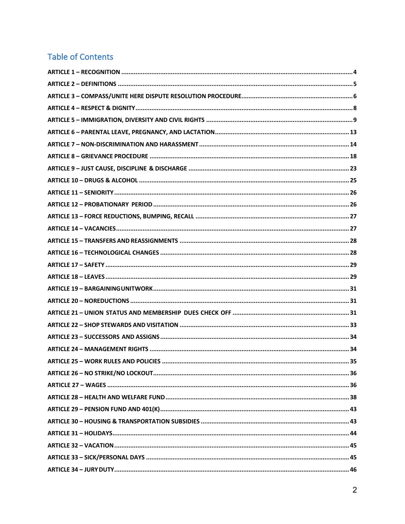## **Table of Contents**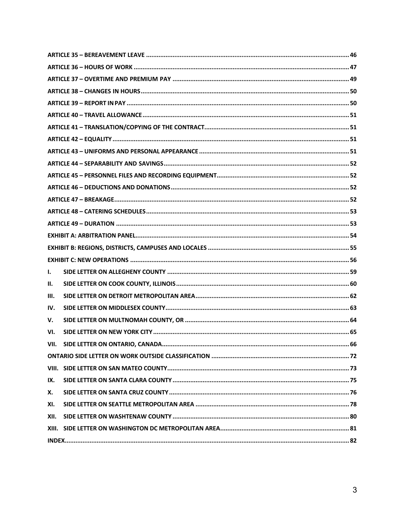| ı.   |  |  |  |
|------|--|--|--|
| Н.   |  |  |  |
| Ш.   |  |  |  |
| IV.  |  |  |  |
| V.   |  |  |  |
| VI.  |  |  |  |
| VII. |  |  |  |
|      |  |  |  |
|      |  |  |  |
| IX.  |  |  |  |
| Х.   |  |  |  |
| XI.  |  |  |  |
| XII. |  |  |  |
|      |  |  |  |
|      |  |  |  |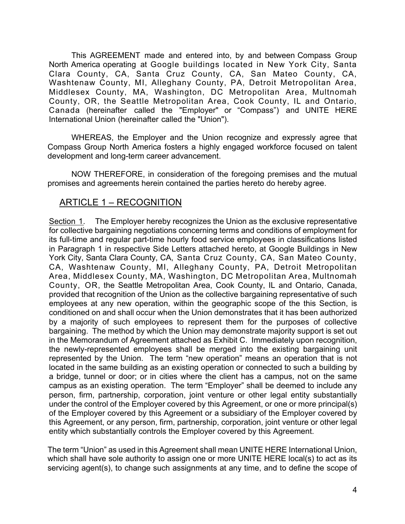This AGREEMENT made and entered into, by and between Compass Group North America operating at Google buildings located in New York City, Santa Clara County, CA, Santa Cruz County, CA, San Mateo County, CA, Washtenaw County, MI, Alleghany County, PA, Detroit Metropolitan Area, Middlesex County, MA, Washington, DC Metropolitan Area, Multnomah County, OR, the Seattle Metropolitan Area, Cook County, IL and Ontario, Canada (hereinafter called the "Employer" or "Compass") and UNITE HERE International Union (hereinafter called the "Union").

WHEREAS, the Employer and the Union recognize and expressly agree that Compass Group North America fosters a highly engaged workforce focused on talent development and long-term career advancement.

NOW THEREFORE, in consideration of the foregoing premises and the mutual promises and agreements herein contained the parties hereto do hereby agree.

## <span id="page-3-0"></span>ARTICLE 1 – RECOGNITION

Section 1. The Employer hereby recognizes the Union as the exclusive representative for collective bargaining negotiations concerning terms and conditions of employment for its full-time and regular part-time hourly food service employees in classifications listed in Paragraph 1 in respective Side Letters attached hereto, at Google Buildings in New York City, Santa Clara County, CA, Santa Cruz County, CA, San Mateo County, CA, Washtenaw County, MI, Alleghany County, PA, Detroit Metropolitan Area, Middlesex County, MA, Washington, DC Metropolitan Area, Multnomah County, OR, the Seattle Metropolitan Area, Cook County, IL and Ontario, Canada, provided that recognition of the Union as the collective bargaining representative of such employees at any new operation, within the geographic scope of the this Section, is conditioned on and shall occur when the Union demonstrates that it has been authorized by a majority of such employees to represent them for the purposes of collective bargaining. The method by which the Union may demonstrate majority support is set out in the Memorandum of Agreement attached as Exhibit C. Immediately upon recognition, the newly-represented employees shall be merged into the existing bargaining unit represented by the Union. The term "new operation" means an operation that is not located in the same building as an existing operation or connected to such a building by a bridge, tunnel or door; or in cities where the client has a campus, not on the same campus as an existing operation. The term "Employer" shall be deemed to include any person, firm, partnership, corporation, joint venture or other legal entity substantially under the control of the Employer covered by this Agreement, or one or more principal(s) of the Employer covered by this Agreement or a subsidiary of the Employer covered by this Agreement, or any person, firm, partnership, corporation, joint venture or other legal entity which substantially controls the Employer covered by this Agreement.

The term "Union" as used in this Agreement shall mean UNITE HERE International Union, which shall have sole authority to assign one or more UNITE HERE local(s) to act as its servicing agent(s), to change such assignments at any time, and to define the scope of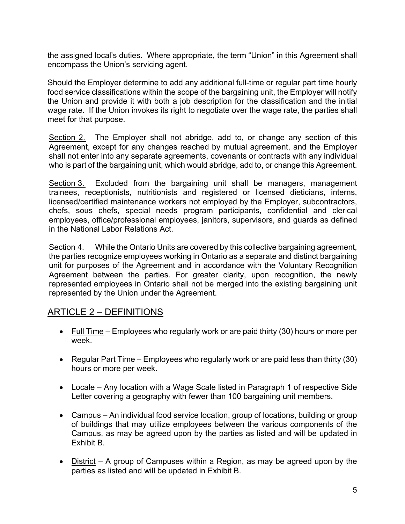the assigned local's duties. Where appropriate, the term "Union" in this Agreement shall encompass the Union's servicing agent.

Should the Employer determine to add any additional full-time or regular part time hourly food service classifications within the scope of the bargaining unit, the Employer will notify the Union and provide it with both a job description for the classification and the initial wage rate. If the Union invokes its right to negotiate over the wage rate, the parties shall meet for that purpose.

Section 2. The Employer shall not abridge, add to, or change any section of this Agreement, except for any changes reached by mutual agreement, and the Employer shall not enter into any separate agreements, covenants or contracts with any individual who is part of the bargaining unit, which would abridge, add to, or change this Agreement.

Section 3. Excluded from the bargaining unit shall be managers, management trainees, receptionists, nutritionists and registered or licensed dieticians, interns, licensed/certified maintenance workers not employed by the Employer, subcontractors, chefs, sous chefs, special needs program participants, confidential and clerical employees, office/professional employees, janitors, supervisors, and guards as defined in the National Labor Relations Act.

Section 4. While the Ontario Units are covered by this collective bargaining agreement, the parties recognize employees working in Ontario as a separate and distinct bargaining unit for purposes of the Agreement and in accordance with the Voluntary Recognition Agreement between the parties. For greater clarity, upon recognition, the newly represented employees in Ontario shall not be merged into the existing bargaining unit represented by the Union under the Agreement.

## ARTICLE 2 – DEFINITIONS

- <span id="page-4-0"></span>• Full Time – Employees who regularly work or are paid thirty (30) hours or more per week.
- Regular Part Time Employees who regularly work or are paid less than thirty (30) hours or more per week.
- Locale Any location with a Wage Scale listed in Paragraph 1 of respective Side Letter covering a geography with fewer than 100 bargaining unit members.
- Campus An individual food service location, group of locations, building or group of buildings that may utilize employees between the various components of the Campus, as may be agreed upon by the parties as listed and will be updated in Exhibit B.
- District A group of Campuses within a Region, as may be agreed upon by the parties as listed and will be updated in Exhibit B.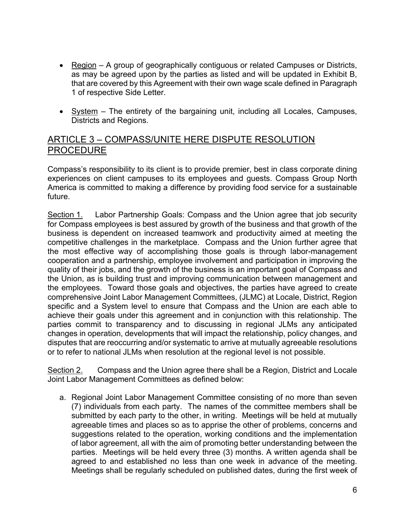- Region A group of geographically contiguous or related Campuses or Districts, as may be agreed upon by the parties as listed and will be updated in Exhibit B, that are covered by this Agreement with their own wage scale defined in Paragraph 1 of respective Side Letter.
- System The entirety of the bargaining unit, including all Locales, Campuses, Districts and Regions.

## <span id="page-5-0"></span>ARTICLE 3 – COMPASS/UNITE HERE DISPUTE RESOLUTION PROCEDURE

Compass's responsibility to its client is to provide premier, best in class corporate dining experiences on client campuses to its employees and guests. Compass Group North America is committed to making a difference by providing food service for a sustainable future.

Section 1. Labor Partnership Goals: Compass and the Union agree that job security for Compass employees is best assured by growth of the business and that growth of the business is dependent on increased teamwork and productivity aimed at meeting the competitive challenges in the marketplace. Compass and the Union further agree that the most effective way of accomplishing those goals is through labor-management cooperation and a partnership, employee involvement and participation in improving the quality of their jobs, and the growth of the business is an important goal of Compass and the Union, as is building trust and improving communication between management and the employees. Toward those goals and objectives, the parties have agreed to create comprehensive Joint Labor Management Committees, (JLMC) at Locale, District, Region specific and a System level to ensure that Compass and the Union are each able to achieve their goals under this agreement and in conjunction with this relationship. The parties commit to transparency and to discussing in regional JLMs any anticipated changes in operation, developments that will impact the relationship, policy changes, and disputes that are reoccurring and/or systematic to arrive at mutually agreeable resolutions or to refer to national JLMs when resolution at the regional level is not possible.

Section 2. Compass and the Union agree there shall be a Region, District and Locale Joint Labor Management Committees as defined below:

a. Regional Joint Labor Management Committee consisting of no more than seven (7) individuals from each party. The names of the committee members shall be submitted by each party to the other, in writing. Meetings will be held at mutually agreeable times and places so as to apprise the other of problems, concerns and suggestions related to the operation, working conditions and the implementation of labor agreement, all with the aim of promoting better understanding between the parties. Meetings will be held every three (3) months. A written agenda shall be agreed to and established no less than one week in advance of the meeting. Meetings shall be regularly scheduled on published dates, during the first week of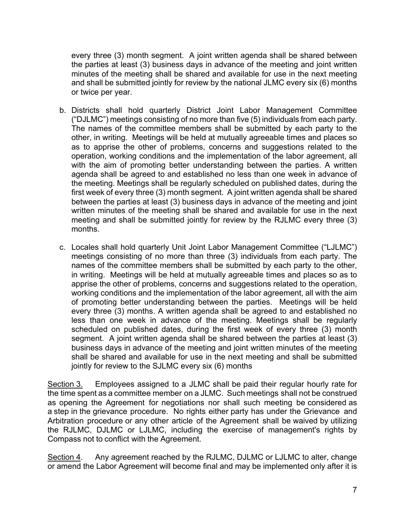every three (3) month segment. A joint written agenda shall be shared between the parties at least (3) business days in advance of the meeting and joint written minutes of the meeting shall be shared and available for use in the next meeting and shall be submitted jointly for review by the national JLMC every six (6) months or twice per year.

- b. Districts shall hold quarterly District Joint Labor Management Committee ("DJLMC") meetings consisting of no more than five (5) individuals from each party. The names of the committee members shall be submitted by each party to the other, in writing. Meetings will be held at mutually agreeable times and places so as to apprise the other of problems, concerns and suggestions related to the operation, working conditions and the implementation of the labor agreement, all with the aim of promoting better understanding between the parties. A written agenda shall be agreed to and established no less than one week in advance of the meeting. Meetings shall be regularly scheduled on published dates, during the first week of every three (3) month segment. A joint written agenda shall be shared between the parties at least (3) business days in advance of the meeting and joint written minutes of the meeting shall be shared and available for use in the next meeting and shall be submitted jointly for review by the RJLMC every three (3) months.
- c. Locales shall hold quarterly Unit Joint Labor Management Committee ("LJLMC") meetings consisting of no more than three (3) individuals from each party. The names of the committee members shall be submitted by each party to the other, in writing. Meetings will be held at mutually agreeable times and places so as to apprise the other of problems, concerns and suggestions related to the operation, working conditions and the implementation of the labor agreement, all with the aim of promoting better understanding between the parties. Meetings will be held every three (3) months. A written agenda shall be agreed to and established no less than one week in advance of the meeting. Meetings shall be regularly scheduled on published dates, during the first week of every three (3) month segment. A joint written agenda shall be shared between the parties at least (3) business days in advance of the meeting and joint written minutes of the meeting shall be shared and available for use in the next meeting and shall be submitted jointly for review to the SJLMC every six (6) months

Section 3. Employees assigned to a JLMC shall be paid their regular hourly rate for the time spent as a committee member on a JLMC. Such meetings shall not be construed as opening the Agreement for negotiations nor shall such meeting be considered as a step in the grievance procedure. No rights either party has under the Grievance and Arbitration procedure or any other article of the Agreement shall be waived by utilizing the RJLMC, DJLMC or LJLMC, including the exercise of management's rights by Compass not to conflict with the Agreement.

Section 4. Any agreement reached by the RJLMC, DJLMC or LJLMC to alter, change or amend the Labor Agreement will become final and may be implemented only after it is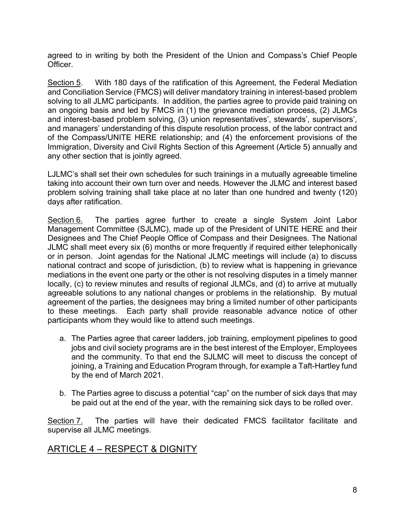agreed to in writing by both the President of the Union and Compass's Chief People Officer.

Section 5. With 180 days of the ratification of this Agreement, the Federal Mediation and Conciliation Service (FMCS) will deliver mandatory training in interest-based problem solving to all JLMC participants. In addition, the parties agree to provide paid training on an ongoing basis and led by FMCS in (1) the grievance mediation process, (2) JLMCs and interest-based problem solving, (3) union representatives', stewards', supervisors', and managers' understanding of this dispute resolution process, of the labor contract and of the Compass/UNITE HERE relationship; and (4) the enforcement provisions of the Immigration, Diversity and Civil Rights Section of this Agreement (Article 5) annually and any other section that is jointly agreed.

LJLMC's shall set their own schedules for such trainings in a mutually agreeable timeline taking into account their own turn over and needs. However the JLMC and interest based problem solving training shall take place at no later than one hundred and twenty (120) days after ratification.

Section 6. The parties agree further to create a single System Joint Labor Management Committee (SJLMC), made up of the President of UNITE HERE and their Designees and The Chief People Office of Compass and their Designees. The National JLMC shall meet every six (6) months or more frequently if required either telephonically or in person. Joint agendas for the National JLMC meetings will include (a) to discuss national contract and scope of jurisdiction, (b) to review what is happening in grievance mediations in the event one party or the other is not resolving disputes in a timely manner locally, (c) to review minutes and results of regional JLMCs, and (d) to arrive at mutually agreeable solutions to any national changes or problems in the relationship. By mutual agreement of the parties, the designees may bring a limited number of other participants to these meetings. Each party shall provide reasonable advance notice of other participants whom they would like to attend such meetings.

- a. The Parties agree that career ladders, job training, employment pipelines to good jobs and civil society programs are in the best interest of the Employer, Employees and the community. To that end the SJLMC will meet to discuss the concept of joining, a Training and Education Program through, for example a Taft-Hartley fund by the end of March 2021.
- <span id="page-7-0"></span>b. The Parties agree to discuss a potential "cap" on the number of sick days that may be paid out at the end of the year, with the remaining sick days to be rolled over.

Section 7. The parties will have their dedicated FMCS facilitator facilitate and supervise all JLMC meetings.

## ARTICLE 4 – RESPECT & DIGNITY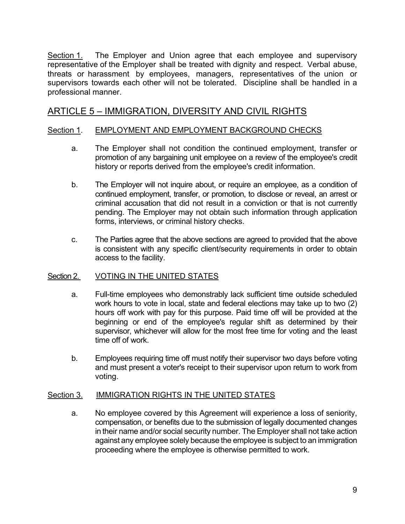Section 1. The Employer and Union agree that each employee and supervisory representative of the Employer shall be treated with dignity and respect. Verbal abuse, threats or harassment by employees, managers, representatives of the union or supervisors towards each other will not be tolerated. Discipline shall be handled in a professional manner.

## ARTICLE 5 – IMMIGRATION, DIVERSITY AND CIVIL RIGHTS

#### Section 1. EMPLOYMENT AND EMPLOYMENT BACKGROUND CHECKS

- <span id="page-8-0"></span>a. The Employer shall not condition the continued employment, transfer or promotion of any bargaining unit employee on a review of the employee's credit history or reports derived from the employee's credit information.
- b. The Employer will not inquire about, or require an employee, as a condition of continued employment, transfer, or promotion, to disclose or reveal, an arrest or criminal accusation that did not result in a conviction or that is not currently pending. The Employer may not obtain such information through application forms, interviews, or criminal history checks.
- c. The Parties agree that the above sections are agreed to provided that the above is consistent with any specific client/security requirements in order to obtain access to the facility.

#### Section 2. VOTING IN THE UNITED STATES

- a. Full-time employees who demonstrably lack sufficient time outside scheduled work hours to vote in local, state and federal elections may take up to two (2) hours off work with pay for this purpose. Paid time off will be provided at the beginning or end of the employee's regular shift as determined by their supervisor, whichever will allow for the most free time for voting and the least time off of work.
- b. Employees requiring time off must notify their supervisor two days before voting and must present a voter's receipt to their supervisor upon return to work from voting.

#### Section 3. IMMIGRATION RIGHTS IN THE UNITED STATES

a. No employee covered by this Agreement will experience a loss of seniority, compensation, or benefits due to the submission of legally documented changes in their name and/or social security number. The Employer shall not take action against any employee solely because the employee is subject to an immigration proceeding where the employee is otherwise permitted to work.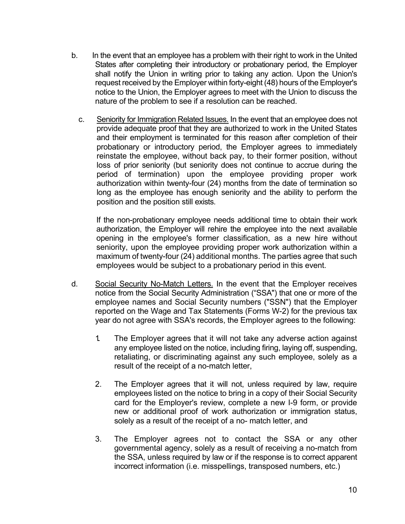- b. In the event that an employee has a problem with their right to work in the United States after completing their introductory or probationary period, the Employer shall notify the Union in writing prior to taking any action. Upon the Union's request received by the Employer within forty-eight (48) hours of the Employer's notice to the Union, the Employer agrees to meet with the Union to discuss the nature of the problem to see if a resolution can be reached.
	- c. Seniority for Immigration Related Issues. In the event that an employee does not provide adequate proof that they are authorized to work in the United States and their employment is terminated for this reason after completion of their probationary or introductory period, the Employer agrees to immediately reinstate the employee, without back pay, to their former position, without loss of prior seniority (but seniority does not continue to accrue during the period of termination) upon the employee providing proper work authorization within twenty-four (24) months from the date of termination so long as the employee has enough seniority and the ability to perform the position and the position still exists.

If the non-probationary employee needs additional time to obtain their work authorization, the Employer will rehire the employee into the next available opening in the employee's former classification, as a new hire without seniority, upon the employee providing proper work authorization within a maximum of twenty-four (24) additional months. The parties agree that such employees would be subject to a probationary period in this event.

- d. Social Security No-Match Letters. In the event that the Employer receives notice from the Social Security Administration ("SSA") that one or more of the employee names and Social Security numbers ("SSN") that the Employer reported on the Wage and Tax Statements (Forms W-2) for the previous tax year do not agree with SSA's records, the Employer agrees to the following:
	- 1. The Employer agrees that it will not take any adverse action against any employee listed on the notice, including firing, laying off, suspending, retaliating, or discriminating against any such employee, solely as a result of the receipt of a no-match letter,
	- 2. The Employer agrees that it will not, unless required by law, require employees listed on the notice to bring in a copy of their Social Security card for the Employer's review, complete a new I-9 form, or provide new or additional proof of work authorization or immigration status, solely as a result of the receipt of a no- match letter, and
	- 3. The Employer agrees not to contact the SSA or any other governmental agency, solely as a result of receiving a no-match from the SSA, unless required by law or if the response is to correct apparent incorrect information (i.e. misspellings, transposed numbers, etc.)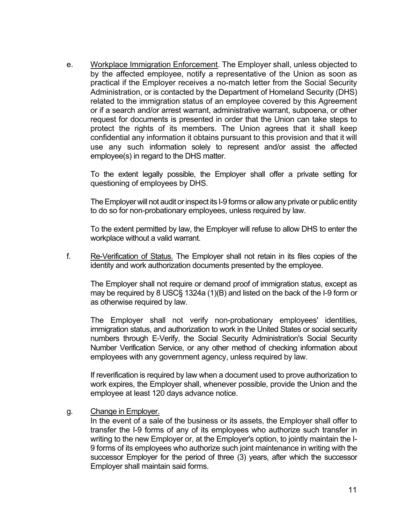e. Workplace Immigration Enforcement. The Employer shall, unless objected to by the affected employee, notify a representative of the Union as soon as practical if the Employer receives a no-match letter from the Social Security Administration, or is contacted by the Department of Homeland Security (DHS) related to the immigration status of an employee covered by this Agreement or if a search and/or arrest warrant, administrative warrant, subpoena, or other request for documents is presented in order that the Union can take steps to protect the rights of its members. The Union agrees that it shall keep confidential any information it obtains pursuant to this provision and that it will use any such information solely to represent and/or assist the affected employee(s) in regard to the DHS matter.

To the extent legally possible, the Employer shall offer a private setting for questioning of employees by DHS.

The Employer will not audit or inspect its I-9 forms or allow any private or public entity to do so for non-probationary employees, unless required by law.

To the extent permitted by law, the Employer will refuse to allow DHS to enter the workplace without a valid warrant.

f.Re-Verification of Status. The Employer shall not retain in its files copies of the identity and work authorization documents presented by the employee.

The Employer shall not require or demand proof of immigration status, except as may be required by 8 USC§ 1324a (1)(B) and listed on the back of the I-9 form or as otherwise required by law.

The Employer shall not verify non-probationary employees' identities, immigration status, and authorization to work in the United States or social security numbers through E-Verify, the Social Security Administration's Social Security Number Verification Service, or any other method of checking information about employees with any government agency, unless required by law.

If reverification is required by law when a document used to prove authorization to work expires, the Employer shall, whenever possible, provide the Union and the employee at least 120 days advance notice.

g. Change in Employer.

In the event of a sale of the business or its assets, the Employer shall offer to transfer the I-9 forms of any of its employees who authorize such transfer in writing to the new Employer or, at the Employer's option, to jointly maintain the I-9 forms of its employees who authorize such joint maintenance in writing with the successor Employer for the period of three (3) years, after which the successor Employer shall maintain said forms.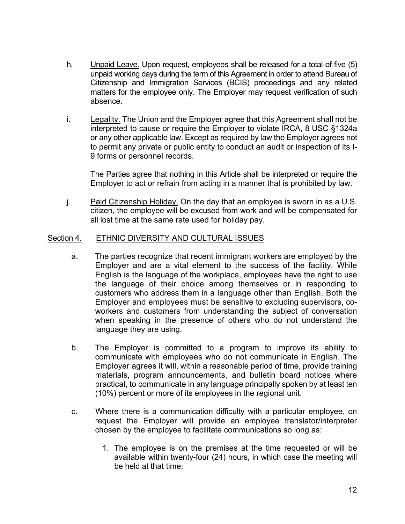- h. Unpaid Leave. Upon request, employees shall be released for a total of five (5) unpaid working days during the term of this Agreement in order to attend Bureau of Citizenship and Immigration Services (BCIS) proceedings and any related matters for the employee only. The Employer may request verification of such absence.
- i. Legality. The Union and the Employer agree that this Agreement shall not be interpreted to cause or require the Employer to violate IRCA, 8 USC §1324a or any other applicable law. Except as required by law the Employer agrees not to permit any private or public entity to conduct an audit or inspection of its I-9 forms or personnel records.

The Parties agree that nothing in this Article shall be interpreted or require the Employer to act or refrain from acting in a manner that is prohibited by law.

j. Paid Citizenship Holiday. On the day that an employee is sworn in as a U.S. citizen, the employee will be excused from work and will be compensated for all lost time at the same rate used for holiday pay.

#### Section 4. ETHNIC DIVERSITY AND CULTURAL ISSUES

- a. The parties recognize that recent immigrant workers are employed by the Employer and are a vital element to the success of the facility. While English is the language of the workplace, employees have the right to use the language of their choice among themselves or in responding to customers who address them in a language other than English. Both the Employer and employees must be sensitive to excluding supervisors, coworkers and customers from understanding the subject of conversation when speaking in the presence of others who do not understand the language they are using.
- b. The Employer is committed to a program to improve its ability to communicate with employees who do not communicate in English. The Employer agrees it will, within a reasonable period of time, provide training materials, program announcements, and bulletin board notices where practical, to communicate in any language principally spoken by at least ten (10%) percent or more of its employees in the regional unit.
- c. Where there is a communication difficulty with a particular employee, on request the Employer will provide an employee translator/interpreter chosen by the employee to facilitate communications so long as:
	- 1. The employee is on the premises at the time requested or will be available within twenty-four (24) hours, in which case the meeting will be held at that time;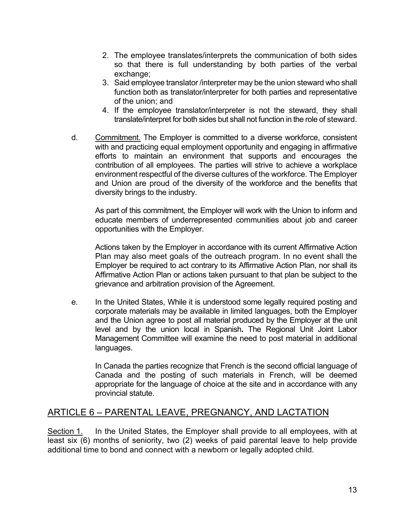- 2. The employee translates/interprets the communication of both sides so that there is full understanding by both parties of the verbal exchange:
- 3. Said employee translator /interpreter may be the union steward who shall function both as translator/interpreter for both parties and representative of the union; and
- 4. If the employee translator/interpreter is not the steward, they shall translate/interpret for both sides but shall not function in the role of steward.
- d. Commitment. The Employer is committed to a diverse workforce, consistent with and practicing equal employment opportunity and engaging in affirmative efforts to maintain an environment that supports and encourages the contribution of all employees. The parties will strive to achieve a workplace environment respectful of the diverse cultures of the workforce. The Employer and Union are proud of the diversity of the workforce and the benefits that diversity brings to the industry.

As part of this commitment, the Employer will work with the Union to inform and educate members of underrepresented communities about job and career opportunities with the Employer.

Actions taken by the Employer in accordance with its current Affirmative Action Plan may also meet goals of the outreach program. In no event shall the Employer be required to act contrary to its Affirmative Action Plan, nor shall its Affirmative Action Plan or actions taken pursuant to that plan be subject to the grievance and arbitration provision of the Agreement.

e. In the United States, While it is understood some legally required posting and corporate materials may be available in limited languages, both the Employer and the Union agree to post all material produced by the Employer at the unit level and by the union local in Spanish**.** The Regional Unit Joint Labor Management Committee will examine the need to post material in additional languages.

<span id="page-12-0"></span>In Canada the parties recognize that French is the second official language of Canada and the posting of such materials in French, will be deemed appropriate for the language of choice at the site and in accordance with any provincial statute.

## ARTICLE 6 – PARENTAL LEAVE, PREGNANCY, AND LACTATION

Section 1. In the United States, the Employer shall provide to all employees, with at least six (6) months of seniority, two (2) weeks of paid parental leave to help provide additional time to bond and connect with a newborn or legally adopted child.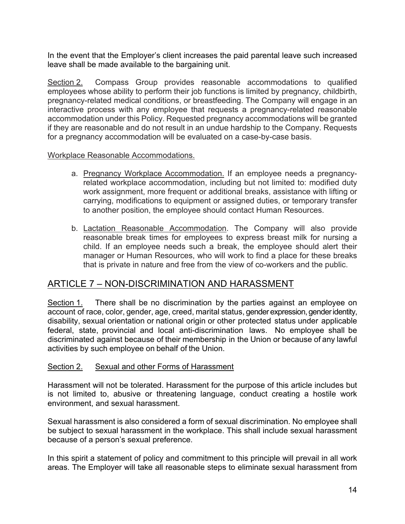In the event that the Employer's client increases the paid parental leave such increased leave shall be made available to the bargaining unit.

Section 2. Compass Group provides reasonable accommodations to qualified employees whose ability to perform their job functions is limited by pregnancy, childbirth, pregnancy-related medical conditions, or breastfeeding. The Company will engage in an interactive process with any employee that requests a pregnancy-related reasonable accommodation under this Policy. Requested pregnancy accommodations will be granted if they are reasonable and do not result in an undue hardship to the Company. Requests for a pregnancy accommodation will be evaluated on a case-by-case basis.

#### Workplace Reasonable Accommodations.

- a. Pregnancy Workplace Accommodation. If an employee needs a pregnancyrelated workplace accommodation, including but not limited to: modified duty work assignment, more frequent or additional breaks, assistance with lifting or carrying, modifications to equipment or assigned duties, or temporary transfer to another position, the employee should contact Human Resources.
- <span id="page-13-0"></span>b. Lactation Reasonable Accommodation. The Company will also provide reasonable break times for employees to express breast milk for nursing a child. If an employee needs such a break, the employee should alert their manager or Human Resources, who will work to find a place for these breaks that is private in nature and free from the view of co-workers and the public.

## ARTICLE 7 – NON-DISCRIMINATION AND HARASSMENT

Section 1. There shall be no discrimination by the parties against an employee on account of race, color, gender, age, creed, marital status, gender expression, gender identity, disability, sexual orientation or national origin or other protected status under applicable federal, state, provincial and local anti-discrimination laws. No employee shall be discriminated against because of their membership in the Union or because of any lawful activities by such employee on behalf of the Union.

#### Section 2. Sexual and other Forms of Harassment

Harassment will not be tolerated. Harassment for the purpose of this article includes but is not limited to, abusive or threatening language, conduct creating a hostile work environment, and sexual harassment.

Sexual harassment is also considered a form of sexual discrimination. No employee shall be subject to sexual harassment in the workplace. This shall include sexual harassment because of a person's sexual preference.

In this spirit a statement of policy and commitment to this principle will prevail in all work areas. The Employer will take all reasonable steps to eliminate sexual harassment from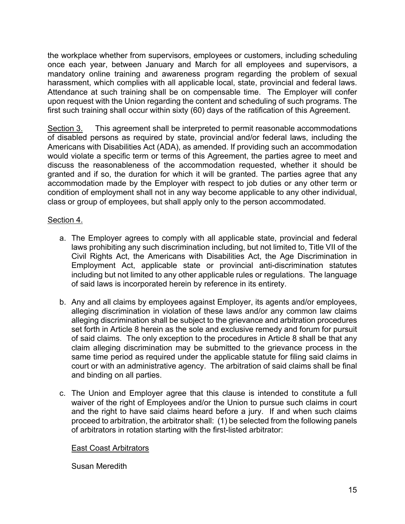the workplace whether from supervisors, employees or customers, including scheduling once each year, between January and March for all employees and supervisors, a mandatory online training and awareness program regarding the problem of sexual harassment, which complies with all applicable local, state, provincial and federal laws. Attendance at such training shall be on compensable time. The Employer will confer upon request with the Union regarding the content and scheduling of such programs. The first such training shall occur within sixty (60) days of the ratification of this Agreement.

Section 3. This agreement shall be interpreted to permit reasonable accommodations of disabled persons as required by state, provincial and/or federal laws, including the Americans with Disabilities Act (ADA), as amended. If providing such an accommodation would violate a specific term or terms of this Agreement, the parties agree to meet and discuss the reasonableness of the accommodation requested, whether it should be granted and if so, the duration for which it will be granted. The parties agree that any accommodation made by the Employer with respect to job duties or any other term or condition of employment shall not in any way become applicable to any other individual, class or group of employees, but shall apply only to the person accommodated.

#### Section 4.

- a. The Employer agrees to comply with all applicable state, provincial and federal laws prohibiting any such discrimination including, but not limited to, Title VII of the Civil Rights Act, the Americans with Disabilities Act, the Age Discrimination in Employment Act, applicable state or provincial anti-discrimination statutes including but not limited to any other applicable rules or regulations. The language of said laws is incorporated herein by reference in its entirety.
- b. Any and all claims by employees against Employer, its agents and/or employees, alleging discrimination in violation of these laws and/or any common law claims alleging discrimination shall be subject to the grievance and arbitration procedures set forth in Article 8 herein as the sole and exclusive remedy and forum for pursuit of said claims. The only exception to the procedures in Article 8 shall be that any claim alleging discrimination may be submitted to the grievance process in the same time period as required under the applicable statute for filing said claims in court or with an administrative agency. The arbitration of said claims shall be final and binding on all parties.
- c. The Union and Employer agree that this clause is intended to constitute a full waiver of the right of Employees and/or the Union to pursue such claims in court and the right to have said claims heard before a jury. If and when such claims proceed to arbitration, the arbitrator shall: (1) be selected from the following panels of arbitrators in rotation starting with the first-listed arbitrator:

#### East Coast Arbitrators

Susan Meredith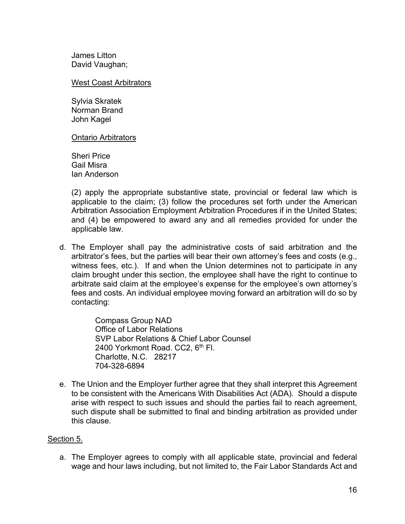James Litton David Vaughan;

West Coast Arbitrators

Sylvia Skratek Norman Brand John Kagel

Ontario Arbitrators

Sheri Price Gail Misra Ian Anderson

(2) apply the appropriate substantive state, provincial or federal law which is applicable to the claim; (3) follow the procedures set forth under the American Arbitration Association Employment Arbitration Procedures if in the United States; and (4) be empowered to award any and all remedies provided for under the applicable law.

d. The Employer shall pay the administrative costs of said arbitration and the arbitrator's fees, but the parties will bear their own attorney's fees and costs (e.g., witness fees, etc.). If and when the Union determines not to participate in any claim brought under this section, the employee shall have the right to continue to arbitrate said claim at the employee's expense for the employee's own attorney's fees and costs. An individual employee moving forward an arbitration will do so by contacting:

> Compass Group NAD Office of Labor Relations SVP Labor Relations & Chief Labor Counsel 2400 Yorkmont Road. CC2, 6<sup>th</sup> Fl. Charlotte, N.C. 28217 704-328-6894

e. The Union and the Employer further agree that they shall interpret this Agreement to be consistent with the Americans With Disabilities Act (ADA). Should a dispute arise with respect to such issues and should the parties fail to reach agreement, such dispute shall be submitted to final and binding arbitration as provided under this clause.

#### Section 5.

a. The Employer agrees to comply with all applicable state, provincial and federal wage and hour laws including, but not limited to, the Fair Labor Standards Act and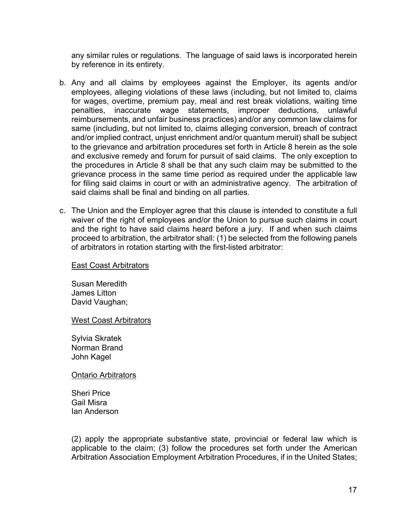any similar rules or regulations. The language of said laws is incorporated herein by reference in its entirety.

- b. Any and all claims by employees against the Employer, its agents and/or employees, alleging violations of these laws (including, but not limited to, claims for wages, overtime, premium pay, meal and rest break violations, waiting time penalties, inaccurate wage statements, improper deductions, unlawful reimbursements, and unfair business practices) and/or any common law claims for same (including, but not limited to, claims alleging conversion, breach of contract and/or implied contract, unjust enrichment and/or quantum meruit) shall be subject to the grievance and arbitration procedures set forth in Article 8 herein as the sole and exclusive remedy and forum for pursuit of said claims. The only exception to the procedures in Article 8 shall be that any such claim may be submitted to the grievance process in the same time period as required under the applicable law for filing said claims in court or with an administrative agency. The arbitration of said claims shall be final and binding on all parties.
- c. The Union and the Employer agree that this clause is intended to constitute a full waiver of the right of employees and/or the Union to pursue such claims in court and the right to have said claims heard before a jury. If and when such claims proceed to arbitration, the arbitrator shall: (1) be selected from the following panels of arbitrators in rotation starting with the first-listed arbitrator:

#### East Coast Arbitrators

Susan Meredith James Litton David Vaughan;

West Coast Arbitrators

Sylvia Skratek Norman Brand John Kagel

Ontario Arbitrators

Sheri Price Gail Misra Ian Anderson

(2) apply the appropriate substantive state, provincial or federal law which is applicable to the claim; (3) follow the procedures set forth under the American Arbitration Association Employment Arbitration Procedures, if in the United States;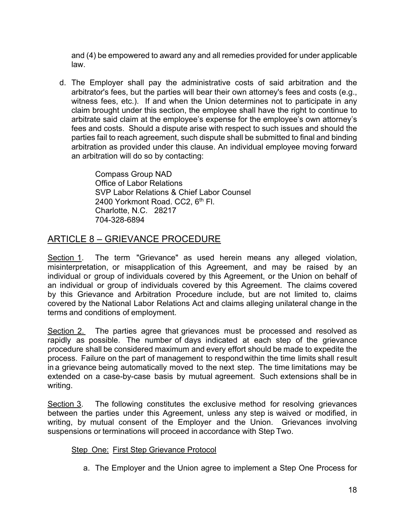and (4) be empowered to award any and all remedies provided for under applicable law.

d. The Employer shall pay the administrative costs of said arbitration and the arbitrator's fees, but the parties will bear their own attorney's fees and costs (e.g., witness fees, etc.). If and when the Union determines not to participate in any claim brought under this section, the employee shall have the right to continue to arbitrate said claim at the employee's expense for the employee's own attorney's fees and costs. Should a dispute arise with respect to such issues and should the parties fail to reach agreement, such dispute shall be submitted to final and binding arbitration as provided under this clause. An individual employee moving forward an arbitration will do so by contacting:

> <span id="page-17-0"></span>Compass Group NAD Office of Labor Relations SVP Labor Relations & Chief Labor Counsel 2400 Yorkmont Road, CC2, 6<sup>th</sup> Fl. Charlotte, N.C. 28217 704-328-6894

## ARTICLE 8 – GRIEVANCE PROCEDURE

Section 1. The term "Grievance" as used herein means any alleged violation, misinterpretation, or misapplication of this Agreement, and may be raised by an individual or group of individuals covered by this Agreement, or the Union on behalf of an individual or group of individuals covered by this Agreement. The claims covered by this Grievance and Arbitration Procedure include, but are not limited to, claims covered by the National Labor Relations Act and claims alleging unilateral change in the terms and conditions of employment.

Section 2. The parties agree that grievances must be processed and resolved as rapidly as possible. The number of days indicated at each step of the grievance procedure shall be considered maximum and every effort should be made to expedite the process. Failure on the part of management to respondwithin the time limits shall result in a grievance being automatically moved to the next step. The time limitations may be extended on a case-by-case basis by mutual agreement. Such extensions shall be in writing.

Section 3. The following constitutes the exclusive method for resolving grievances between the parties under this Agreement, unless any step is waived or modified, in writing, by mutual consent of the Employer and the Union. Grievances involving suspensions or terminations will proceed in accordance with Step Two.

#### Step One: First Step Grievance Protocol

a. The Employer and the Union agree to implement a Step One Process for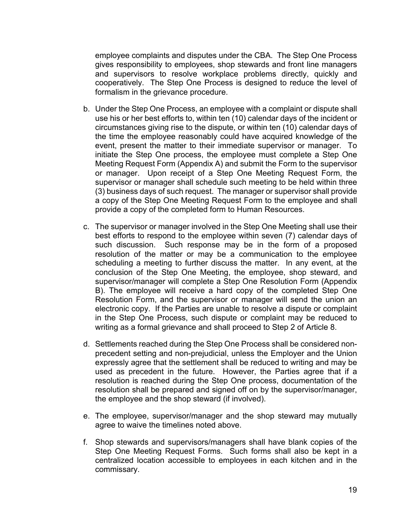employee complaints and disputes under the CBA. The Step One Process gives responsibility to employees, shop stewards and front line managers and supervisors to resolve workplace problems directly, quickly and cooperatively. The Step One Process is designed to reduce the level of formalism in the grievance procedure.

- b. Under the Step One Process, an employee with a complaint or dispute shall use his or her best efforts to, within ten (10) calendar days of the incident or circumstances giving rise to the dispute, or within ten (10) calendar days of the time the employee reasonably could have acquired knowledge of the event, present the matter to their immediate supervisor or manager. To initiate the Step One process, the employee must complete a Step One Meeting Request Form (Appendix A) and submit the Form to the supervisor or manager. Upon receipt of a Step One Meeting Request Form, the supervisor or manager shall schedule such meeting to be held within three (3) business days of such request. The manager or supervisor shall provide a copy of the Step One Meeting Request Form to the employee and shall provide a copy of the completed form to Human Resources.
- c. The supervisor or manager involved in the Step One Meeting shall use their best efforts to respond to the employee within seven (7) calendar days of such discussion. Such response may be in the form of a proposed resolution of the matter or may be a communication to the employee scheduling a meeting to further discuss the matter. In any event, at the conclusion of the Step One Meeting, the employee, shop steward, and supervisor/manager will complete a Step One Resolution Form (Appendix B). The employee will receive a hard copy of the completed Step One Resolution Form, and the supervisor or manager will send the union an electronic copy. If the Parties are unable to resolve a dispute or complaint in the Step One Process, such dispute or complaint may be reduced to writing as a formal grievance and shall proceed to Step 2 of Article 8.
- d. Settlements reached during the Step One Process shall be considered nonprecedent setting and non-prejudicial, unless the Employer and the Union expressly agree that the settlement shall be reduced to writing and may be used as precedent in the future. However, the Parties agree that if a resolution is reached during the Step One process, documentation of the resolution shall be prepared and signed off on by the supervisor/manager, the employee and the shop steward (if involved).
- e. The employee, supervisor/manager and the shop steward may mutually agree to waive the timelines noted above.
- f. Shop stewards and supervisors/managers shall have blank copies of the Step One Meeting Request Forms. Such forms shall also be kept in a centralized location accessible to employees in each kitchen and in the commissary.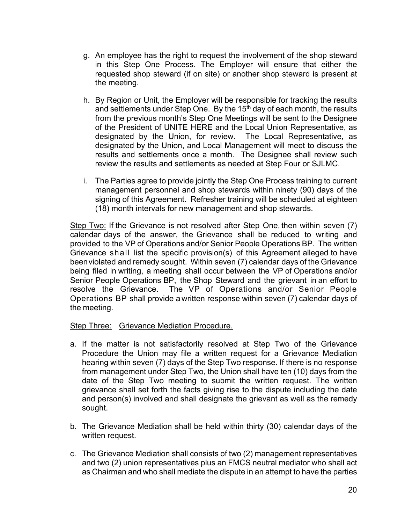- g. An employee has the right to request the involvement of the shop steward in this Step One Process. The Employer will ensure that either the requested shop steward (if on site) or another shop steward is present at the meeting.
- h. By Region or Unit, the Employer will be responsible for tracking the results and settlements under Step One. By the  $15<sup>th</sup>$  day of each month, the results from the previous month's Step One Meetings will be sent to the Designee of the President of UNITE HERE and the Local Union Representative, as designated by the Union, for review. The Local Representative, as designated by the Union, and Local Management will meet to discuss the results and settlements once a month. The Designee shall review such review the results and settlements as needed at Step Four or SJLMC.
- i. The Parties agree to provide jointly the Step One Process training to current management personnel and shop stewards within ninety (90) days of the signing of this Agreement. Refresher training will be scheduled at eighteen (18) month intervals for new management and shop stewards.

Step Two: If the Grievance is not resolved after Step One, then within seven (7) calendar days of the answer, the Grievance shall be reduced to writing and provided to the VP of Operations and/or Senior People Operations BP. The written Grievance shall list the specific provision(s) of this Agreement alleged to have beenviolated and remedy sought. Within seven (7) calendar days of the Grievance being filed in writing, a meeting shall occur between the VP of Operations and/or Senior People Operations BP, the Shop Steward and the grievant in an effort to resolve the Grievance. The VP of Operations and/or Senior People Operations BP shall provide a written response within seven (7) calendar days of the meeting.

#### Step Three: Grievance Mediation Procedure.

- a. If the matter is not satisfactorily resolved at Step Two of the Grievance Procedure the Union may file a written request for a Grievance Mediation hearing within seven (7) days of the Step Two response. If there is no response from management under Step Two, the Union shall have ten (10) days from the date of the Step Two meeting to submit the written request. The written grievance shall set forth the facts giving rise to the dispute including the date and person(s) involved and shall designate the grievant as well as the remedy sought.
- b. The Grievance Mediation shall be held within thirty (30) calendar days of the written request.
- c. The Grievance Mediation shall consists of two (2) management representatives and two (2) union representatives plus an FMCS neutral mediator who shall act as Chairman and who shall mediate the dispute in an attempt to have the parties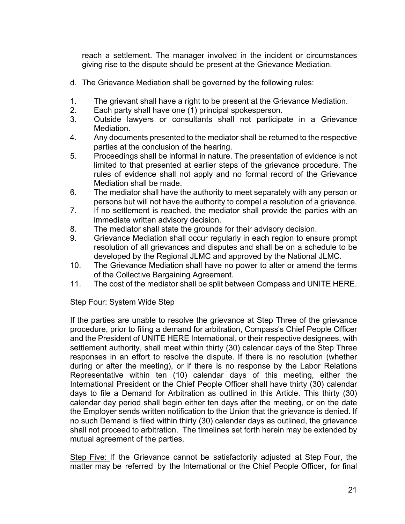reach a settlement. The manager involved in the incident or circumstances giving rise to the dispute should be present at the Grievance Mediation.

- d. The Grievance Mediation shall be governed by the following rules:
- 1. The grievant shall have a right to be present at the Grievance Mediation.
- 2. Each party shall have one (1) principal spokesperson.
- 3. Outside lawyers or consultants shall not participate in a Grievance Mediation.
- 4. Any documents presented to the mediator shall be returned to the respective parties at the conclusion of the hearing.
- 5. Proceedings shall be informal in nature. The presentation of evidence is not limited to that presented at earlier steps of the grievance procedure. The rules of evidence shall not apply and no formal record of the Grievance Mediation shall be made.
- 6. The mediator shall have the authority to meet separately with any person or persons but will not have the authority to compel a resolution of a grievance.
- 7. If no settlement is reached, the mediator shall provide the parties with an immediate written advisory decision.
- 8. The mediator shall state the grounds for their advisory decision.
- 9. Grievance Mediation shall occur regularly in each region to ensure prompt resolution of all grievances and disputes and shall be on a schedule to be developed by the Regional JLMC and approved by the National JLMC.
- 10. The Grievance Mediation shall have no power to alter or amend the terms of the Collective Bargaining Agreement.
- 11. The cost of the mediator shall be split between Compass and UNITE HERE.

#### Step Four: System Wide Step

If the parties are unable to resolve the grievance at Step Three of the grievance procedure, prior to filing a demand for arbitration, Compass's Chief People Officer and the President of UNITE HERE International, or their respective designees, with settlement authority, shall meet within thirty (30) calendar days of the Step Three responses in an effort to resolve the dispute. If there is no resolution (whether during or after the meeting), or if there is no response by the Labor Relations Representative within ten (10) calendar days of this meeting, either the International President or the Chief People Officer shall have thirty (30) calendar days to file a Demand for Arbitration as outlined in this Article. This thirty (30) calendar day period shall begin either ten days after the meeting, or on the date the Employer sends written notification to the Union that the grievance is denied. If no such Demand is filed within thirty (30) calendar days as outlined, the grievance shall not proceed to arbitration. The timelines set forth herein may be extended by mutual agreement of the parties.

Step Five: If the Grievance cannot be satisfactorily adjusted at Step Four, the matter may be referred by the International or the Chief People Officer, for final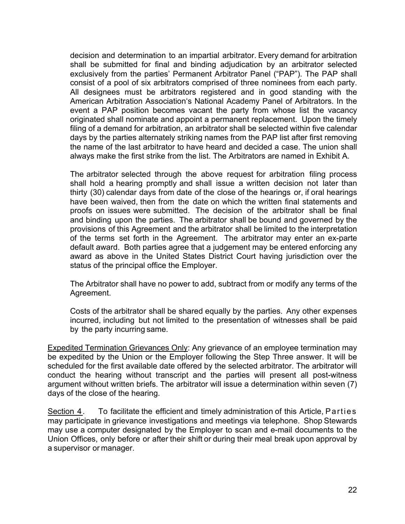decision and determination to an impartial arbitrator. Every demand for arbitration shall be submitted for final and binding adjudication by an arbitrator selected exclusively from the parties' Permanent Arbitrator Panel ("PAP"). The PAP shall consist of a pool of six arbitrators comprised of three nominees from each party. All designees must be arbitrators registered and in good standing with the American Arbitration Association's National Academy Panel of Arbitrators. In the event a PAP position becomes vacant the party from whose list the vacancy originated shall nominate and appoint a permanent replacement. Upon the timely filing of a demand for arbitration, an arbitrator shall be selected within five calendar days by the parties alternately striking names from the PAP list after first removing the name of the last arbitrator to have heard and decided a case. The union shall always make the first strike from the list. The Arbitrators are named in Exhibit A.

The arbitrator selected through the above request for arbitration filing process shall hold a hearing promptly and shall issue a written decision not later than thirty (30) calendar days from date of the close of the hearings or, if oral hearings have been waived, then from the date on which the written final statements and proofs on issues were submitted. The decision of the arbitrator shall be final and binding upon the parties. The arbitrator shall be bound and governed by the provisions of this Agreement and the arbitrator shall be limited to the interpretation of the terms set forth in the Agreement. The arbitrator may enter an ex-parte default award. Both parties agree that a judgement may be entered enforcing any award as above in the United States District Court having jurisdiction over the status of the principal office the Employer.

The Arbitrator shall have no power to add, subtract from or modify any terms of the Agreement.

Costs of the arbitrator shall be shared equally by the parties. Any other expenses incurred, including but not limited to the presentation of witnesses shall be paid by the party incurring same.

Expedited Termination Grievances Only: Any grievance of an employee termination may be expedited by the Union or the Employer following the Step Three answer. It will be scheduled for the first available date offered by the selected arbitrator. The arbitrator will conduct the hearing without transcript and the parties will present all post-witness argument without written briefs. The arbitrator will issue a determination within seven (7) days of the close of the hearing.

Section 4. To facilitate the efficient and timely administration of this Article, Parties may participate in grievance investigations and meetings via telephone. Shop Stewards may use a computer designated by the Employer to scan and e-mail documents to the Union Offices, only before or after their shift or during their meal break upon approval by a supervisor or manager.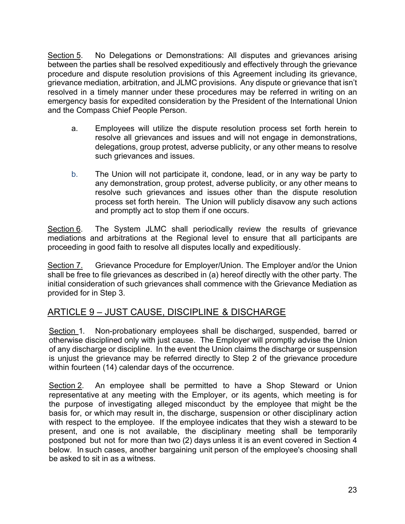Section 5. No Delegations or Demonstrations: All disputes and grievances arising between the parties shall be resolved expeditiously and effectively through the grievance procedure and dispute resolution provisions of this Agreement including its grievance, grievance mediation, arbitration, and JLMC provisions. Any dispute or grievance that isn't resolved in a timely manner under these procedures may be referred in writing on an emergency basis for expedited consideration by the President of the International Union and the Compass Chief People Person.

- a. Employees will utilize the dispute resolution process set forth herein to resolve all grievances and issues and will not engage in demonstrations, delegations, group protest, adverse publicity, or any other means to resolve such grievances and issues.
- b. The Union will not participate it, condone, lead, or in any way be party to any demonstration, group protest, adverse publicity, or any other means to resolve such grievances and issues other than the dispute resolution process set forth herein. The Union will publicly disavow any such actions and promptly act to stop them if one occurs.

Section 6. The System JLMC shall periodically review the results of grievance mediations and arbitrations at the Regional level to ensure that all participants are proceeding in good faith to resolve all disputes locally and expeditiously.

Section 7. Grievance Procedure for Employer/Union. The Employer and/or the Union shall be free to file grievances as described in (a) hereof directly with the other party. The initial consideration of such grievances shall commence with the Grievance Mediation as provided for in Step 3.

## ARTICLE 9 – JUST CAUSE, DISCIPLINE & DISCHARGE

<span id="page-22-0"></span>Section 1. Non-probationary employees shall be discharged, suspended, barred or otherwise disciplined only with just cause. The Employer will promptly advise the Union of any discharge or discipline. In the event the Union claims the discharge or suspension is unjust the grievance may be referred directly to Step 2 of the grievance procedure within fourteen (14) calendar days of the occurrence.

Section 2. An employee shall be permitted to have a Shop Steward or Union representative at any meeting with the Employer, or its agents, which meeting is for the purpose of investigating alleged misconduct by the employee that might be the basis for, or which may result in, the discharge, suspension or other disciplinary action with respect to the employee. If the employee indicates that they wish a steward to be present, and one is not available, the disciplinary meeting shall be temporarily postponed but not for more than two (2) days unless it is an event covered in Section 4 below. In such cases, another bargaining unit person of the employee's choosing shall be asked to sit in as a witness.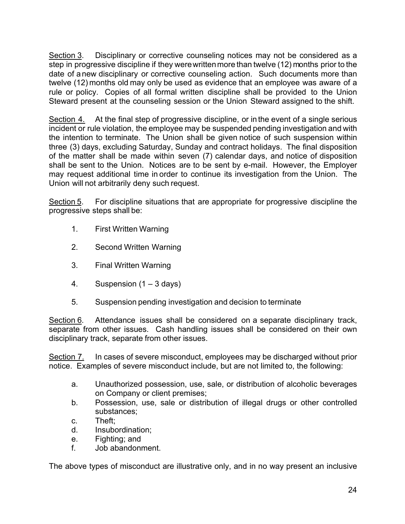Section 3. Disciplinary or corrective counseling notices may not be considered as a step in progressive discipline if they werewrittenmore than twelve (12) months prior to the date of a new disciplinary or corrective counseling action. Such documents more than twelve (12) months old may only be used as evidence that an employee was aware of a rule or policy. Copies of all formal written discipline shall be provided to the Union Steward present at the counseling session or the Union Steward assigned to the shift.

Section 4. At the final step of progressive discipline, or in the event of a single serious incident or rule violation, the employee may be suspended pending investigation and with the intention to terminate. The Union shall be given notice of such suspension within three (3) days, excluding Saturday, Sunday and contract holidays. The final disposition of the matter shall be made within seven (7) calendar days, and notice of disposition shall be sent to the Union. Notices are to be sent by e-mail. However, the Employer may request additional time in order to continue its investigation from the Union. The Union will not arbitrarily deny such request.

Section 5. For discipline situations that are appropriate for progressive discipline the progressive steps shall be:

- 1. First Written Warning
- 2. Second Written Warning
- 3. Final Written Warning
- 4. Suspension  $(1 3 \text{ days})$
- 5. Suspension pending investigation and decision to terminate

Section 6. Attendance issues shall be considered on a separate disciplinary track, separate from other issues. Cash handling issues shall be considered on their own disciplinary track, separate from other issues.

Section 7. In cases of severe misconduct, employees may be discharged without prior notice. Examples of severe misconduct include, but are not limited to, the following:

- a. Unauthorized possession, use, sale, or distribution of alcoholic beverages on Company or client premises;
- b. Possession, use, sale or distribution of illegal drugs or other controlled substances;
- c. Theft;
- d. Insubordination;
- e. Fighting; and
- f. Job abandonment.

The above types of misconduct are illustrative only, and in no way present an inclusive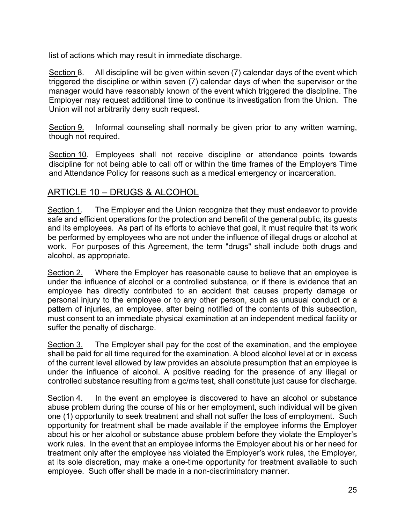list of actions which may result in immediate discharge.

Section  $8$ . All discipline will be given within seven (7) calendar days of the event which triggered the discipline or within seven (7) calendar days of when the supervisor or the manager would have reasonably known of the event which triggered the discipline. The Employer may request additional time to continue its investigation from the Union. The Union will not arbitrarily deny such request.

Section 9. Informal counseling shall normally be given prior to any written warning, though not required.

Section 10. Employees shall not receive discipline or attendance points towards discipline for not being able to call off or within the time frames of the Employers Time and Attendance Policy for reasons such as a medical emergency or incarceration.

## <span id="page-24-0"></span>ARTICLE 10 – DRUGS & ALCOHOL

Section 1*.* The Employer and the Union recognize that they must endeavor to provide safe and efficient operations for the protection and benefit of the general public, its guests and its employees. As part of its efforts to achieve that goal, it must require that its work be performed by employees who are not under the influence of illegal drugs or alcohol at work. For purposes of this Agreement, the term "drugs" shall include both drugs and alcohol, as appropriate.

Section 2. Where the Employer has reasonable cause to believe that an employee is under the influence of alcohol or a controlled substance, or if there is evidence that an employee has directly contributed to an accident that causes property damage or personal injury to the employee or to any other person, such as unusual conduct or a pattern of injuries, an employee, after being notified of the contents of this subsection, must consent to an immediate physical examination at an independent medical facility or suffer the penalty of discharge.

Section 3. The Employer shall pay for the cost of the examination, and the employee shall be paid for all time required for the examination. A blood alcohol level at or in excess of the current level allowed by law provides an absolute presumption that an employee is under the influence of alcohol. A positive reading for the presence of any illegal or controlled substance resulting from a gc/ms test, shall constitute just cause for discharge.

Section 4. In the event an employee is discovered to have an alcohol or substance abuse problem during the course of his or her employment, such individual will be given one (1) opportunity to seek treatment and shall not suffer the loss of employment. Such opportunity for treatment shall be made available if the employee informs the Employer about his or her alcohol or substance abuse problem before they violate the Employer's work rules. In the event that an employee informs the Employer about his or her need for treatment only after the employee has violated the Employer's work rules, the Employer, at its sole discretion, may make a one-time opportunity for treatment available to such employee. Such offer shall be made in a non-discriminatory manner.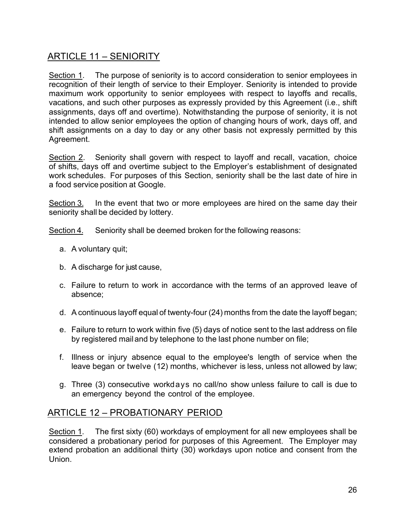## ARTICLE 11 – SENIORITY

<span id="page-25-0"></span>Section 1. The purpose of seniority is to accord consideration to senior employees in recognition of their length of service to their Employer. Seniority is intended to provide maximum work opportunity to senior employees with respect to layoffs and recalls, vacations, and such other purposes as expressly provided by this Agreement (i.e., shift assignments, days off and overtime). Notwithstanding the purpose of seniority, it is not intended to allow senior employees the option of changing hours of work, days off, and shift assignments on a day to day or any other basis not expressly permitted by this Agreement.

Section 2. Seniority shall govern with respect to layoff and recall, vacation, choice of shifts, days off and overtime subject to the Employer's establishment of designated work schedules. For purposes of this Section, seniority shall be the last date of hire in a food service position at Google.

Section 3. In the event that two or more employees are hired on the same day their seniority shall be decided by lottery.

Section 4. Seniority shall be deemed broken for the following reasons:

- a. A voluntary quit;
- b. A discharge for just cause,
- c. Failure to return to work in accordance with the terms of an approved leave of absence;
- d. A continuous layoff equal of twenty-four (24) months from the date the layoff began;
- e. Failure to return to work within five (5) days of notice sent to the last address on file by registered mail and by telephone to the last phone number on file;
- f. Illness or injury absence equal to the employee's length of service when the leave began or twelve (12) months, whichever is less, unless not allowed by law;
- <span id="page-25-1"></span>g. Three (3) consecutive workdays no call/no show unless failure to call is due to an emergency beyond the control of the employee.

## ARTICLE 12 – PROBATIONARY PERIOD

Section 1. The first sixty (60) workdays of employment for all new employees shall be considered a probationary period for purposes of this Agreement. The Employer may extend probation an additional thirty (30) workdays upon notice and consent from the Union.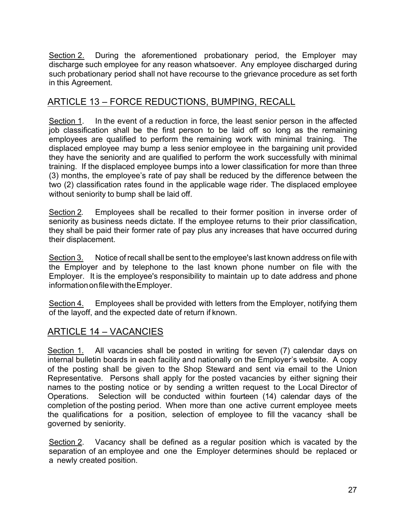Section 2. During the aforementioned probationary period, the Employer may discharge such employee for any reason whatsoever. Any employee discharged during such probationary period shall not have recourse to the grievance procedure as set forth in this Agreement.

## ARTICLE 13 – FORCE REDUCTIONS, BUMPING, RECALL

<span id="page-26-0"></span>Section 1. In the event of a reduction in force, the least senior person in the affected job classification shall be the first person to be laid off so long as the remaining employees are qualified to perform the remaining work with minimal training. The displaced employee may bump a less senior employee in the bargaining unit provided they have the seniority and are qualified to perform the work successfully with minimal training. If the displaced employee bumps into a lower classification for more than three (3) months, the employee's rate of pay shall be reduced by the difference between the two (2) classification rates found in the applicable wage rider. The displaced employee without seniority to bump shall be laid off.

Section 2. Employees shall be recalled to their former position in inverse order of seniority as business needs dictate. If the employee returns to their prior classification, they shall be paid their former rate of pay plus any increases that have occurred during their displacement.

Section 3. Notice of recall shall be sent to the employee's last known address on file with the Employer and by telephone to the last known phone number on file with the Employer. It is the employee's responsibility to maintain up to date address and phone information on file with the Employer.

Section 4. Employees shall be provided with letters from the Employer, notifying them of the layoff, and the expected date of return if known.

## <span id="page-26-1"></span>ARTICLE 14 – VACANCIES

Section 1. All vacancies shall be posted in writing for seven (7) calendar days on internal bulletin boards in each facility and nationally on the Employer's website. A copy of the posting shall be given to the Shop Steward and sent via email to the Union Representative. Persons shall apply for the posted vacancies by either signing their names to the posting notice or by sending a written request to the Local Director of Operations. Selection will be conducted within fourteen (14) calendar days of the completion of the posting period. When more than one active current employee meets the qualifications for a position, selection of employee to fill the vacancy ·shall be governed by seniority.

Section 2. Vacancy shall be defined as a regular position which is vacated by the separation of an employee and one the Employer determines should be replaced or a newly created position.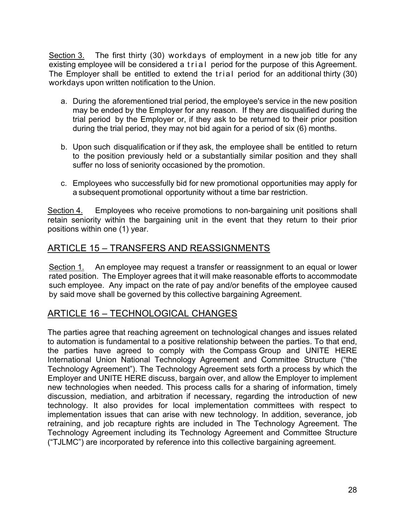Section 3. The first thirty (30) workdays of employment in a new job title for any existing employee will be considered a trial period for the purpose of this Agreement. The Employer shall be entitled to extend the trial period for an additional thirty (30) workdays upon written notification to the Union.

- a. During the aforementioned trial period, the employee's service in the new position may be ended by the Employer for any reason. If they are disqualified during the trial period by the Employer or, if they ask to be returned to their prior position during the trial period, they may not bid again for a period of six (6) months.
- b. Upon such disqualification or if they ask, the employee shall be entitled to return to the position previously held or a substantially similar position and they shall suffer no loss of seniority occasioned by the promotion.
- <span id="page-27-0"></span>c. Employees who successfully bid for new promotional opportunities may apply for a subsequent promotional opportunity without a time bar restriction.

Section 4. Employees who receive promotions to non-bargaining unit positions shall retain seniority within the bargaining unit in the event that they return to their prior positions within one (1) year.

## ARTICLE 15 – TRANSFERS AND REASSIGNMENTS

Section 1. An employee may request a transfer or reassignment to an equal or lower rated position. The Employer agrees that it will make reasonable efforts to accommodate such employee. Any impact on the rate of pay and/or benefits of the employee caused by said move shall be governed by this collective bargaining Agreement.

## <span id="page-27-1"></span>ARTICLE 16 – TECHNOLOGICAL CHANGES

The parties agree that reaching agreement on technological changes and issues related to automation is fundamental to a positive relationship between the parties. To that end, the parties have agreed to comply with the Compass Group and UNITE HERE International Union National Technology Agreement and Committee Structure ("the Technology Agreement"). The Technology Agreement sets forth a process by which the Employer and UNITE HERE discuss, bargain over, and allow the Employer to implement new technologies when needed. This process calls for a sharing of information, timely discussion, mediation, and arbitration if necessary, regarding the introduction of new technology. It also provides for local implementation committees with respect to implementation issues that can arise with new technology. In addition, severance, job retraining, and job recapture rights are included in The Technology Agreement. The Technology Agreement including its Technology Agreement and Committee Structure ("TJLMC") are incorporated by reference into this collective bargaining agreement.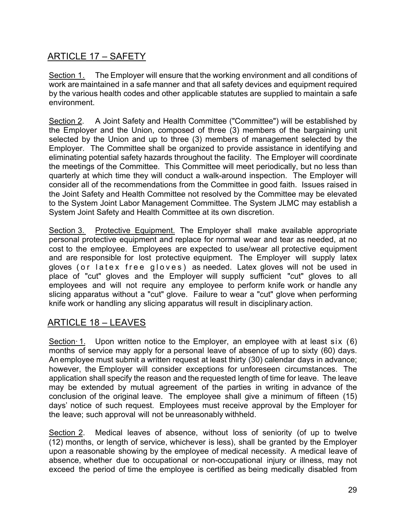## <span id="page-28-0"></span>ARTICLE 17 – SAFETY

Section 1. The Employer will ensure that the working environment and all conditions of work are maintained in a safe manner and that all safety devices and equipment required by the various health codes and other applicable statutes are supplied to maintain a safe environment.

Section 2. A Joint Safety and Health Committee ("Committee") will be established by the Employer and the Union, composed of three (3) members of the bargaining unit selected by the Union and up to three (3) members of management selected by the Employer. The Committee shall be organized to provide assistance in identifying and eliminating potential safety hazards throughout the facility. The Employer will coordinate the meetings of the Committee. This Committee will meet periodically, but no less than quarterly at which time they will conduct a walk-around inspection. The Employer will consider all of the recommendations from the Committee in good faith. Issues raised in the Joint Safety and Health Committee not resolved by the Committee may be elevated to the System Joint Labor Management Committee. The System JLMC may establish a System Joint Safety and Health Committee at its own discretion.

Section 3. Protective Equipment. The Employer shall make available appropriate personal protective equipment and replace for normal wear and tear as needed, at no cost to the employee. Employees are expected to use/wear all protective equipment and are responsible for lost protective equipment. The Employer will supply latex gloves (or latex free gloves ) as needed. Latex gloves will not be used in place of "cut" gloves and the Employer will supply sufficient "cut" gloves to all employees and will not require any employee to perform knife work or handle any slicing apparatus without a "cut" glove. Failure to wear a "cut" glove when performing knife work or handling any slicing apparatus will result in disciplinary action.

## <span id="page-28-1"></span>ARTICLE 18 – LEAVES

Section 1. Upon written notice to the Employer, an employee with at least six (6) months of service may apply for a personal leave of absence of up to sixty (60) days. An employee must submit a written request at least thirty (30) calendar days in advance; however, the Employer will consider exceptions for unforeseen circumstances. The application shall specify the reason and the requested length of time for leave. The leave may be extended by mutual agreement of the parties in writing in advance of the conclusion of the original leave. The employee shall give a minimum of fifteen (15) days' notice of such request. Employees must receive approval by the Employer for the leave; such approval will not be unreasonably withheld.

Section 2. Medical leaves of absence, without loss of seniority (of up to twelve (12) months, or length of service, whichever is less), shall be granted by the Employer upon a reasonable showing by the employee of medical necessity. A medical leave of absence, whether due to occupational or non-occupational injury or illness, may not exceed the period of time the employee is certified as being medically disabled from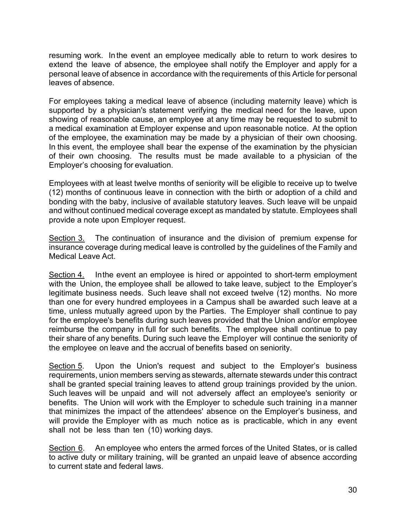resuming work. In the event an employee medically able to return to work desires to extend the leave of absence, the employee shall notify the Employer and apply for a personal leave of absence in accordance with the requirements of this Article for personal leaves of absence.

For employees taking a medical leave of absence (including maternity leave) which is supported by a physician's statement verifying the medical need for the leave, upon showing of reasonable cause, an employee at any time may be requested to submit to a medical examination at Employer expense and upon reasonable notice. At the option of the employee, the examination may be made by a physician of their own choosing. In this event, the employee shall bear the expense of the examination by the physician of their own choosing. The results must be made available to a physician of the Employer's choosing for evaluation.

Employees with at least twelve months of seniority will be eligible to receive up to twelve (12) months of continuous leave in connection with the birth or adoption of a child and bonding with the baby, inclusive of available statutory leaves. Such leave will be unpaid and without continued medical coverage except as mandated by statute. Employees shall provide a note upon Employer request.

Section 3. The continuation of insurance and the division of premium expense for insurance coverage during medical leave is controlled by the guidelines of the Family and Medical Leave Act.

Section 4. Inthe event an employee is hired or appointed to short-term employment with the Union, the employee shall be allowed to take leave, subject to the Employer's legitimate business needs. Such leave shall not exceed twelve (12) months. No more than one for every hundred employees in a Campus shall be awarded such leave at a time, unless mutually agreed upon by the Parties. The Employer shall continue to pay for the employee's benefits during such leaves provided that the Union and/or employee reimburse the company in full for such benefits. The employee shall continue to pay their share of any benefits. During such leave the Employer will continue the seniority of the employee on leave and the accrual of benefits based on seniority.

Section 5. Upon the Union's request and subject to the Employer's business requirements, union members serving as stewards, alternate stewards under this contract shall be granted special training leaves to attend group trainings provided by the union. Such leaves will be unpaid and will not adversely affect an employee's seniority or benefits. The Union will work with the Employer to schedule such training in a manner that minimizes the impact of the attendees' absence on the Employer's business, and will provide the Employer with as much notice as is practicable, which in any event shall not be less than ten (10) working days.

Section 6. An employee who enters the armed forces of the United States, or is called to active duty or military training, will be granted an unpaid leave of absence according to current state and federal laws.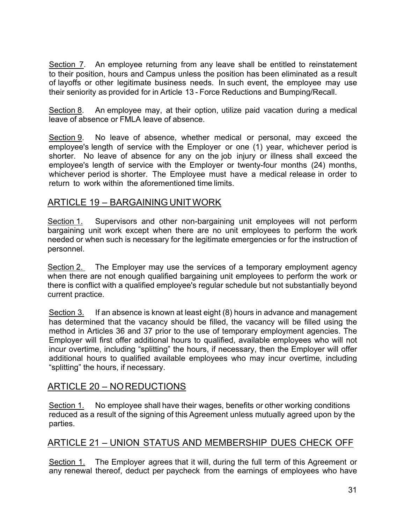Section 7. An employee returning from any leave shall be entitled to reinstatement to their position, hours and Campus unless the position has been eliminated as a result of layoffs or other legitimate business needs. In such event, the employee may use their seniority as provided for in Article 13 - Force Reductions and Bumping/Recall.

Section 8. An employee may, at their option, utilize paid vacation during a medical leave of absence or FMLA leave of absence.

Section 9. No leave of absence, whether medical or personal, may exceed the employee's length of service with the Employer or one (1) year, whichever period is shorter. No leave of absence for any on the job injury or illness shall exceed the employee's length of service with the Employer or twenty-four months (24) months, whichever period is shorter. The Employee must have a medical release in order to return to work within the aforementioned time limits.

## <span id="page-30-0"></span>ARTICLE 19 – BARGAINING UNITWORK

Section 1. Supervisors and other non-bargaining unit employees will not perform bargaining unit work except when there are no unit employees to perform the work needed or when such is necessary for the legitimate emergencies or for the instruction of personnel.

Section 2. The Employer may use the services of a temporary employment agency when there are not enough qualified bargaining unit employees to perform the work or there is conflict with a qualified employee's regular schedule but not substantially beyond current practice.

Section 3. If an absence is known at least eight (8) hours in advance and management has determined that the vacancy should be filled, the vacancy will be filled using the method in Articles 36 and 37 prior to the use of temporary employment agencies. The Employer will first offer additional hours to qualified, available employees who will not incur overtime, including "splitting" the hours, if necessary, then the Employer will offer additional hours to qualified available employees who may incur overtime, including "splitting" the hours, if necessary.

## <span id="page-30-1"></span>ARTICLE 20 – NOREDUCTIONS

Section 1. No employee shall have their wages, benefits or other working conditions reduced as a result of the signing of this Agreement unless mutually agreed upon by the parties.

## ARTICLE 21 – UNION STATUS AND MEMBERSHIP DUES CHECK OFF

<span id="page-30-2"></span>Section 1. The Employer agrees that it will, during the full term of this Agreement or any renewal thereof, deduct per paycheck from the earnings of employees who have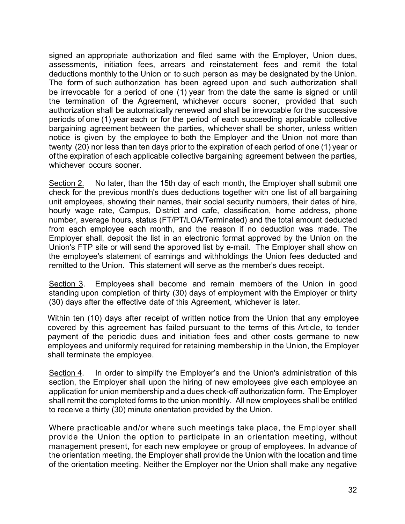signed an appropriate authorization and filed same with the Employer, Union dues, assessments, initiation fees, arrears and reinstatement fees and remit the total deductions monthly to the Union or to such person as may be designated by the Union. The form of such authorization has been agreed upon and such authorization shall be irrevocable for a period of one (1) year from the date the same is signed or until the termination of the Agreement, whichever occurs sooner, provided that such authorization shall be automatically renewed and shall be irrevocable for the successive periods of one (1) year each or for the period of each succeeding applicable collective bargaining agreement between the parties, whichever shall be shorter, unless written notice is given by the employee to both the Employer and the Union not more than twenty (20) nor less than ten days prior to the expiration of each period of one (1) year or of the expiration of each applicable collective bargaining agreement between the parties, whichever occurs sooner.

Section 2. No later, than the 15th day of each month, the Employer shall submit one check for the previous month's dues deductions together with one list of all bargaining unit employees, showing their names, their social security numbers, their dates of hire, hourly wage rate, Campus, District and cafe, classification, home address, phone number, average hours, status (FT/PT/LOA/Terminated) and the total amount deducted from each employee each month, and the reason if no deduction was made. The Employer shall, deposit the list in an electronic format approved by the Union on the Union's FTP site or will send the approved list by e-mail. The Employer shall show on the employee's statement of earnings and withholdings the Union fees deducted and remitted to the Union. This statement will serve as the member's dues receipt.

Section 3. Employees shall become and remain members of the Union in good standing upon completion of thirty (30) days of employment with the Employer or thirty (30) days after the effective date of this Agreement, whichever is later.

Within ten (10) days after receipt of written notice from the Union that any employee covered by this agreement has failed pursuant to the terms of this Article, to tender payment of the periodic dues and initiation fees and other costs germane to new employees and uniformly required for retaining membership in the Union, the Employer shall terminate the employee.

Section 4. In order to simplify the Employer's and the Union's administration of this section, the Employer shall upon the hiring of new employees give each employee an application for union membership and a dues check-off authorization form. The Employer shall remit the completed forms to the union monthly. All new employees shall be entitled to receive a thirty (30) minute orientation provided by the Union.

Where practicable and/or where such meetings take place, the Employer shall provide the Union the option to participate in an orientation meeting, without management present, for each new employee or group of employees. In advance of the orientation meeting, the Employer shall provide the Union with the location and time of the orientation meeting. Neither the Employer nor the Union shall make any negative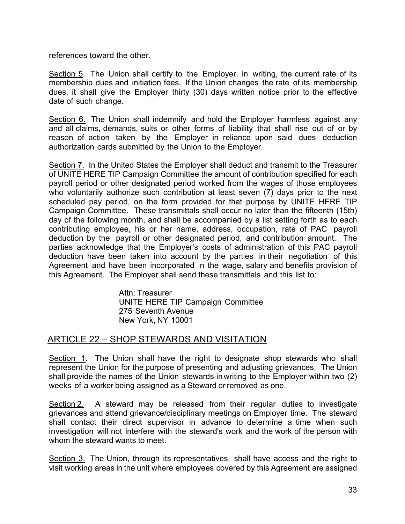references toward the other.

Section 5. The Union shall certify to the Employer, in writing, the current rate of its membership dues and initiation fees. If the Union changes the rate of its membership dues, it shall give the Employer thirty (30) days written notice prior to the effective date of such change.

Section 6. The Union shall indemnify and hold the Employer harmless against any and all claims, demands, suits or other forms of liability that shall rise out of or by reason of action taken by the Employer in reliance upon said dues deduction authorization cards submitted by the Union to the Employer.

Section 7. In the United States the Employer shall deduct and transmit to the Treasurer of UNITE HERE TIP Campaign Committee the amount of contribution specified for each payroll period or other designated period worked from the wages of those employees who voluntarily authorize such contribution at least seven (7) days prior to the next scheduled pay period, on the form provided for that purpose by UNITE HERE TIP Campaign Committee. These transmittals shall occur no later than the fifteenth (15th) day of the following month, and shall be accompanied by a list setting forth as to each contributing employee, his or her name, address, occupation, rate of PAC payroll deduction by the payroll or other designated period, and contribution amount. The parties acknowledge that the Employer's costs of administration of this PAC payroll deduction have been taken into account by the parties in their negotiation of this Agreement and have been incorporated in the wage, salary and benefits provision of this Agreement. The Employer shall send these transmittals and this list to:

> <span id="page-32-0"></span>Attn: Treasurer UNITE HERE TIP Campaign Committee 275 Seventh Avenue New York, NY 10001

## ARTICLE 22 – SHOP STEWARDS AND VISITATION

Section 1. The Union shall have the right to designate shop stewards who shall represent the Union for the purpose of presenting and adjusting grievances. The Union shall provide the names of the Union stewards in writing to the Employer within two (2) weeks of a worker being assigned as a Steward or removed as one.

Section 2. A steward may be released from their regular duties to investigate grievances and attend grievance/disciplinary meetings on Employer time. The steward shall contact their direct supervisor in advance to determine a time when such investigation will not interfere with the steward's work and the work of the person with whom the steward wants to meet.

Section 3. The Union, through its representatives, shall have access and the right to visit working areas in the unit where employees covered by this Agreement are assigned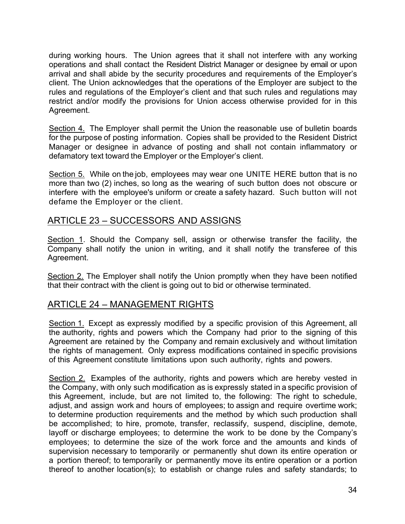during working hours. The Union agrees that it shall not interfere with any working operations and shall contact the Resident District Manager or designee by email or upon arrival and shall abide by the security procedures and requirements of the Employer's client. The Union acknowledges that the operations of the Employer are subject to the rules and regulations of the Employer's client and that such rules and regulations may restrict and/or modify the provisions for Union access otherwise provided for in this Agreement.

Section 4. The Employer shall permit the Union the reasonable use of bulletin boards for the purpose of posting information. Copies shall be provided to the Resident District Manager or designee in advance of posting and shall not contain inflammatory or defamatory text toward the Employer or the Employer's client.

Section 5. While on the job, employees may wear one UNITE HERE button that is no more than two (2) inches, so long as the wearing of such button does not obscure or interfere with the employee's uniform or create a safety hazard. Such button will not defame the Employer or the client.

## <span id="page-33-0"></span>ARTICLE 23 – SUCCESSORS AND ASSIGNS

Section 1. Should the Company sell, assign or otherwise transfer the facility, the Company shall notify the union in writing, and it shall notify the transferee of this Agreement.

Section 2. The Employer shall notify the Union promptly when they have been notified that their contract with the client is going out to bid or otherwise terminated.

## ARTICLE 24 – MANAGEMENT RIGHTS

<span id="page-33-1"></span>Section 1. Except as expressly modified by a specific provision of this Agreement, all the authority, rights and powers which the Company had prior to the signing of this Agreement are retained by the Company and remain exclusively and without limitation the rights of management. Only express modifications contained in specific provisions of this Agreement constitute limitations upon such authority, rights and powers.

Section 2. Examples of the authority, rights and powers which are hereby vested in the Company, with only such modification as is expressly stated in a specific provision of this Agreement, include, but are not limited to, the following: The right to schedule, adjust, and assign work and hours of employees; to assign and require overtime work; to determine production requirements and the method by which such production shall be accomplished; to hire, promote, transfer, reclassify, suspend, discipline, demote, layoff or discharge employees; to determine the work to be done by the Company's employees; to determine the size of the work force and the amounts and kinds of supervision necessary to temporarily or permanently shut down its entire operation or a portion thereof; to temporarily or permanently move its entire operation or a portion thereof to another location(s); to establish or change rules and safety standards; to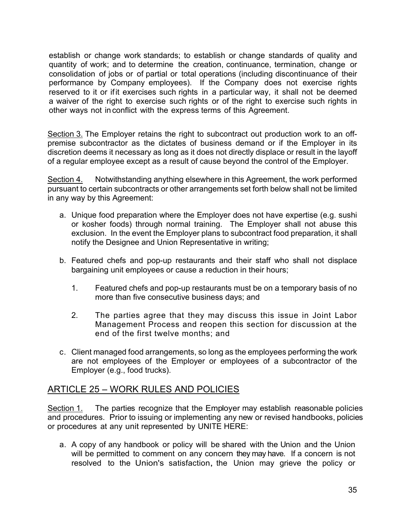establish or change work standards; to establish or change standards of quality and quantity of work; and to determine the creation, continuance, termination, change or consolidation of jobs or of partial or total operations (including discontinuance of their performance by Company employees). If the Company does not exercise rights reserved to it or ifit exercises such rights in a particular way, it shall not be deemed a waiver of the right to exercise such rights or of the right to exercise such rights in other ways not in conflict with the express terms of this Agreement.

Section 3. The Employer retains the right to subcontract out production work to an offpremise subcontractor as the dictates of business demand or if the Employer in its discretion deems it necessary as long as it does not directly displace or result in the layoff of a regular employee except as a result of cause beyond the control of the Employer.

Section 4. Notwithstanding anything elsewhere in this Agreement, the work performed pursuant to certain subcontracts or other arrangements set forth below shall not be limited in any way by this Agreement:

- a. Unique food preparation where the Employer does not have expertise (e.g. sushi or kosher foods) through normal training. The Employer shall not abuse this exclusion. In the event the Employer plans to subcontract food preparation, it shall notify the Designee and Union Representative in writing;
- b. Featured chefs and pop-up restaurants and their staff who shall not displace bargaining unit employees or cause a reduction in their hours;
	- 1. Featured chefs and pop-up restaurants must be on a temporary basis of no more than five consecutive business days; and
	- 2. The parties agree that they may discuss this issue in Joint Labor Management Process and reopen this section for discussion at the end of the first twelve months; and
- <span id="page-34-0"></span>c. Client managed food arrangements, so long as the employees performing the work are not employees of the Employer or employees of a subcontractor of the Employer (e.g., food trucks).

## ARTICLE 25 – WORK RULES AND POLICIES

Section 1. The parties recognize that the Employer may establish reasonable policies and procedures. Prior to issuing or implementing any new or revised handbooks, policies or procedures at any unit represented by UNITE HERE:

a. A copy of any handbook or policy will be shared with the Union and the Union will be permitted to comment on any concern they may have. If a concern is not resolved to the Union's satisfaction, the Union may grieve the policy or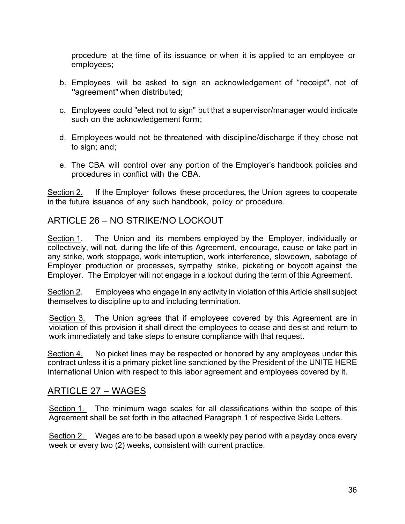procedure at the time of its issuance or when it is applied to an employee or employees;

- b. Employees will be asked to sign an acknowledgement of "receipt", not of "agreement" when distributed;
- c. Employees could "elect not to sign" but that a supervisor/manager would indicate such on the acknowledgement form;
- d. Employees would not be threatened with discipline/discharge if they chose not to sign; and;
- <span id="page-35-0"></span>e. The CBA will control over any portion of the Employer's handbook policies and procedures in conflict with the CBA.

Section 2. If the Employer follows these procedures, the Union agrees to cooperate in the future issuance of any such handbook, policy or procedure.

## ARTICLE 26 – NO STRIKE/NO LOCKOUT

Section 1. The Union and its members employed by the Employer, individually or collectively, will not, during the life of this Agreement, encourage, cause or take part in any strike, work stoppage, work interruption, work interference, slowdown, sabotage of Employer production or processes, sympathy strike, picketing or boycott against the Employer. The Employer will not engage in a lockout during the term of this Agreement.

Section 2. Employees who engage in any activity in violation of this Article shall subject themselves to discipline up to and including termination.

Section 3. The Union agrees that if employees covered by this Agreement are in violation of this provision it shall direct the employees to cease and desist and return to work immediately and take steps to ensure compliance with that request.

Section 4. No picket lines may be respected or honored by any employees under this contract unless it is a primary picket line sanctioned by the President of the UNITE HERE International Union with respect to this labor agreement and employees covered by it.

#### ARTICLE 27 – WAGES

<span id="page-35-1"></span>Section 1. The minimum wage scales for all classifications within the scope of this Agreement shall be set forth in the attached Paragraph 1 of respective Side Letters.

Section 2. Wages are to be based upon a weekly pay period with a payday once every week or every two (2) weeks, consistent with current practice.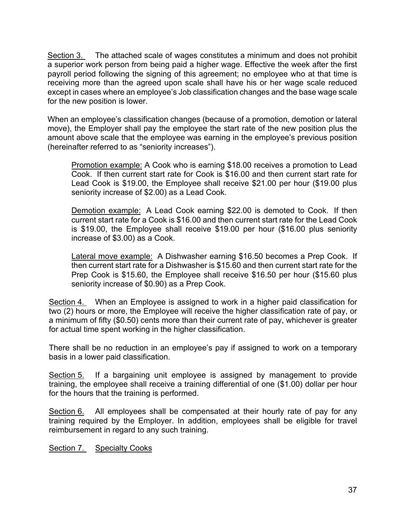Section 3. The attached scale of wages constitutes a minimum and does not prohibit a superior work person from being paid a higher wage. Effective the week after the first payroll period following the signing of this agreement; no employee who at that time is receiving more than the agreed upon scale shall have his or her wage scale reduced except in cases where an employee's Job classification changes and the base wage scale for the new position is lower.

When an employee's classification changes (because of a promotion, demotion or lateral move), the Employer shall pay the employee the start rate of the new position plus the amount above scale that the employee was earning in the employee's previous position (hereinafter referred to as "seniority increases").

Promotion example: A Cook who is earning \$18.00 receives a promotion to Lead Cook. If then current start rate for Cook is \$16.00 and then current start rate for Lead Cook is \$19.00, the Employee shall receive \$21.00 per hour (\$19.00 plus seniority increase of \$2.00) as a Lead Cook.

Demotion example: A Lead Cook earning \$22.00 is demoted to Cook. If then current start rate for a Cook is \$16.00 and then current start rate for the Lead Cook is \$19.00, the Employee shall receive \$19.00 per hour (\$16.00 plus seniority increase of \$3.00) as a Cook.

Lateral move example: A Dishwasher earning \$16.50 becomes a Prep Cook. If then current start rate for a Dishwasher is \$15.60 and then current start rate for the Prep Cook is \$15.60, the Employee shall receive \$16.50 per hour (\$15.60 plus seniority increase of \$0.90) as a Prep Cook.

Section 4. When an Employee is assigned to work in a higher paid classification for two (2) hours or more, the Employee will receive the higher classification rate of pay, or a minimum of fifty (\$0.50) cents more than their current rate of pay, whichever is greater for actual time spent working in the higher classification.

There shall be no reduction in an employee's pay if assigned to work on a temporary basis in a lower paid classification.

Section 5. If a bargaining unit employee is assigned by management to provide training, the employee shall receive a training differential of one (\$1.00) dollar per hour for the hours that the training is performed.

Section 6. All employees shall be compensated at their hourly rate of pay for any training required by the Employer. In addition, employees shall be eligible for travel reimbursement in regard to any such training.

Section 7. Specialty Cooks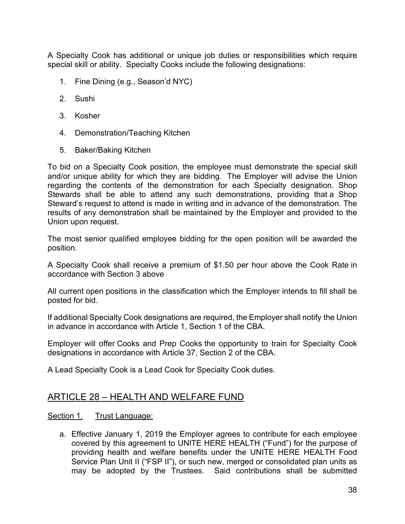A Specialty Cook has additional or unique job duties or responsibilities which require special skill or ability. Specialty Cooks include the following designations:

- 1. Fine Dining (e.g., Season'd NYC)
- 2. Sushi
- 3. Kosher
- 4. Demonstration/Teaching Kitchen
- 5. Baker/Baking Kitchen

To bid on a Specialty Cook position, the employee must demonstrate the special skill and/or unique ability for which they are bidding. The Employer will advise the Union regarding the contents of the demonstration for each Specialty designation. Shop Stewards shall be able to attend any such demonstrations, providing that a Shop Steward's request to attend is made in writing and in advance of the demonstration. The results of any demonstration shall be maintained by the Employer and provided to the Union upon request.

The most senior qualified employee bidding for the open position will be awarded the position.

A Specialty Cook shall receive a premium of \$1.50 per hour above the Cook Rate in accordance with Section 3 above

All current open positions in the classification which the Employer intends to fill shall be posted for bid.

If additional Specialty Cook designations are required, the Employer shall notify the Union in advance in accordance with Article 1, Section 1 of the CBA.

Employer will offer Cooks and Prep Cooks the opportunity to train for Specialty Cook designations in accordance with Article 37, Section 2 of the CBA.

A Lead Specialty Cook is a Lead Cook for Specialty Cook duties.

# ARTICLE 28 – HEALTH AND WELFARE FUND

#### Section 1. Trust Language:

a. Effective January 1, 2019 the Employer agrees to contribute for each employee covered by this agreement to UNITE HERE HEALTH ("Fund") for the purpose of providing health and welfare benefits under the UNITE HERE HEALTH Food Service Plan Unit II ("FSP II"), or such new, merged or consolidated plan units as may be adopted by the Trustees. Said contributions shall be submitted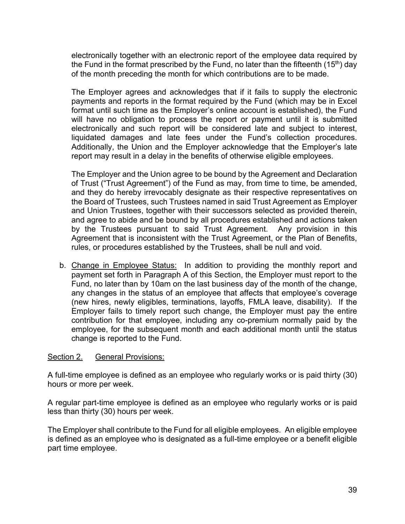electronically together with an electronic report of the employee data required by the Fund in the format prescribed by the Fund, no later than the fifteenth  $(15<sup>th</sup>)$  day of the month preceding the month for which contributions are to be made.

The Employer agrees and acknowledges that if it fails to supply the electronic payments and reports in the format required by the Fund (which may be in Excel format until such time as the Employer's online account is established), the Fund will have no obligation to process the report or payment until it is submitted electronically and such report will be considered late and subject to interest, liquidated damages and late fees under the Fund's collection procedures. Additionally, the Union and the Employer acknowledge that the Employer's late report may result in a delay in the benefits of otherwise eligible employees.

The Employer and the Union agree to be bound by the Agreement and Declaration of Trust ("Trust Agreement") of the Fund as may, from time to time, be amended, and they do hereby irrevocably designate as their respective representatives on the Board of Trustees, such Trustees named in said Trust Agreement as Employer and Union Trustees, together with their successors selected as provided therein, and agree to abide and be bound by all procedures established and actions taken by the Trustees pursuant to said Trust Agreement. Any provision in this Agreement that is inconsistent with the Trust Agreement, or the Plan of Benefits, rules, or procedures established by the Trustees, shall be null and void.

b. Change in Employee Status:In addition to providing the monthly report and payment set forth in Paragraph A of this Section, the Employer must report to the Fund, no later than by 10am on the last business day of the month of the change, any changes in the status of an employee that affects that employee's coverage (new hires, newly eligibles, terminations, layoffs, FMLA leave, disability). If the Employer fails to timely report such change, the Employer must pay the entire contribution for that employee, including any co-premium normally paid by the employee, for the subsequent month and each additional month until the status change is reported to the Fund.

#### Section 2. General Provisions:

A full-time employee is defined as an employee who regularly works or is paid thirty (30) hours or more per week.

A regular part-time employee is defined as an employee who regularly works or is paid less than thirty (30) hours per week.

The Employer shall contribute to the Fund for all eligible employees. An eligible employee is defined as an employee who is designated as a full-time employee or a benefit eligible part time employee.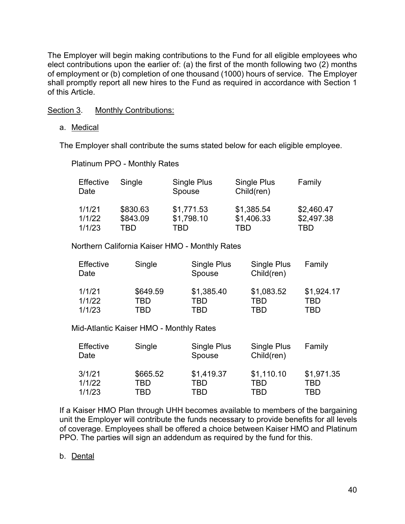The Employer will begin making contributions to the Fund for all eligible employees who elect contributions upon the earlier of: (a) the first of the month following two (2) months of employment or (b) completion of one thousand (1000) hours of service. The Employer shall promptly report all new hires to the Fund as required in accordance with Section 1 of this Article.

Section 3. Monthly Contributions:

a. Medical

The Employer shall contribute the sums stated below for each eligible employee.

Platinum PPO - Monthly Rates

| Effective<br>Date | Single   | Single Plus<br>Spouse | Single Plus<br>Child(ren) | Family     |
|-------------------|----------|-----------------------|---------------------------|------------|
| 1/1/21            | \$830.63 | \$1,771.53            | \$1,385.54                | \$2,460.47 |
| 1/1/22            | \$843.09 | \$1,798.10            | \$1,406.33                | \$2,497.38 |
| 1/1/23            | TBD      | TBD                   | TBD                       | TBD        |

Northern California Kaiser HMO - Monthly Rates

| Effective<br>Date | Single   | Single Plus<br>Spouse | Single Plus<br>Child(ren) | Family     |
|-------------------|----------|-----------------------|---------------------------|------------|
| 1/1/21            | \$649.59 | \$1,385.40            | \$1,083.52                | \$1,924.17 |
| 1/1/22            | TBD      | TRD                   | TBD                       | TRD        |
| 1/1/23            | TBD      | TRD                   | TBD                       | TRD        |

Mid-Atlantic Kaiser HMO - Monthly Rates

| Effective<br>Date | Single   | Single Plus<br>Spouse | Single Plus<br>Child(ren) | Family     |
|-------------------|----------|-----------------------|---------------------------|------------|
| 3/1/21            | \$665.52 | \$1,419.37            | \$1,110.10                | \$1,971.35 |
| 1/1/22            | TBD      | TBD                   | TBD                       | TBD        |
| 1/1/23            | TBD      | TBD                   | TBD                       | TBD        |

If a Kaiser HMO Plan through UHH becomes available to members of the bargaining unit the Employer will contribute the funds necessary to provide benefits for all levels of coverage. Employees shall be offered a choice between Kaiser HMO and Platinum PPO. The parties will sign an addendum as required by the fund for this.

#### b. Dental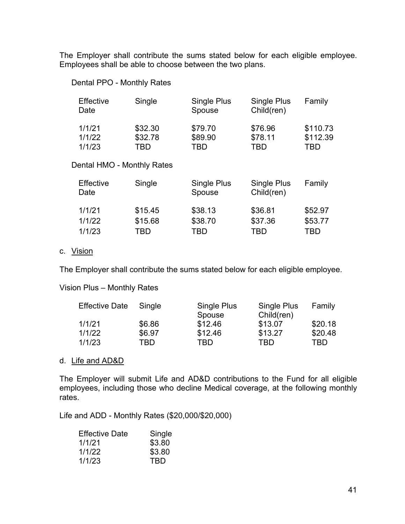The Employer shall contribute the sums stated below for each eligible employee. Employees shall be able to choose between the two plans.

#### Dental PPO - Monthly Rates

| Effective<br>Date | Single  | Single Plus<br>Spouse | Single Plus<br>Child(ren) | Family   |
|-------------------|---------|-----------------------|---------------------------|----------|
| 1/1/21            | \$32.30 | \$79.70               | \$76.96                   | \$110.73 |
| 1/1/22            | \$32.78 | \$89.90               | \$78.11                   | \$112.39 |
| 1/1/23            | TRD     | TBD                   | TBD                       | TBD      |

#### Dental HMO - Monthly Rates

| Effective<br>Date | Single  | Single Plus<br>Spouse | <b>Single Plus</b><br>Child(ren) | Family  |
|-------------------|---------|-----------------------|----------------------------------|---------|
| 1/1/21            | \$15.45 | \$38.13               | \$36.81                          | \$52.97 |
| 1/1/22            | \$15.68 | \$38.70               | \$37.36                          | \$53.77 |
| 1/1/23            | TBD     | TBD                   | TBD                              | TBD     |

#### c. Vision

The Employer shall contribute the sums stated below for each eligible employee.

Vision Plus – Monthly Rates

| <b>Effective Date</b> | Single | Single Plus | Single Plus | Family  |
|-----------------------|--------|-------------|-------------|---------|
|                       |        | Spouse      | Child(ren)  |         |
| 1/1/21                | \$6.86 | \$12.46     | \$13.07     | \$20.18 |
| 1/1/22                | \$6.97 | \$12.46     | \$13.27     | \$20.48 |
| 1/1/23                | TBD    | TBD         | TRD         | TBD     |

#### d. Life and AD&D

The Employer will submit Life and AD&D contributions to the Fund for all eligible employees, including those who decline Medical coverage, at the following monthly rates.

Life and ADD - Monthly Rates (\$20,000/\$20,000)

| <b>Effective Date</b> | Single |
|-----------------------|--------|
| 1/1/21                | \$3.80 |
| 1/1/22                | \$3.80 |
| 1/1/23                | TBD    |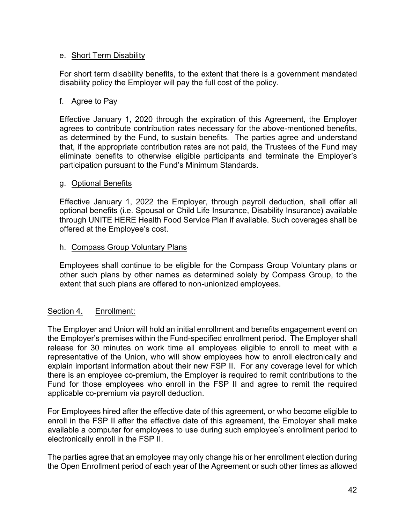#### e. Short Term Disability

For short term disability benefits, to the extent that there is a government mandated disability policy the Employer will pay the full cost of the policy.

#### f. Agree to Pay

Effective January 1, 2020 through the expiration of this Agreement, the Employer agrees to contribute contribution rates necessary for the above-mentioned benefits, as determined by the Fund, to sustain benefits. The parties agree and understand that, if the appropriate contribution rates are not paid, the Trustees of the Fund may eliminate benefits to otherwise eligible participants and terminate the Employer's participation pursuant to the Fund's Minimum Standards.

#### g. Optional Benefits

Effective January 1, 2022 the Employer, through payroll deduction, shall offer all optional benefits (i.e. Spousal or Child Life Insurance, Disability Insurance) available through UNITE HERE Health Food Service Plan if available. Such coverages shall be offered at the Employee's cost.

#### h. Compass Group Voluntary Plans

Employees shall continue to be eligible for the Compass Group Voluntary plans or other such plans by other names as determined solely by Compass Group, to the extent that such plans are offered to non-unionized employees.

### Section 4. Enrollment:

The Employer and Union will hold an initial enrollment and benefits engagement event on the Employer's premises within the Fund-specified enrollment period. The Employer shall release for 30 minutes on work time all employees eligible to enroll to meet with a representative of the Union, who will show employees how to enroll electronically and explain important information about their new FSP II. For any coverage level for which there is an employee co-premium, the Employer is required to remit contributions to the Fund for those employees who enroll in the FSP II and agree to remit the required applicable co-premium via payroll deduction.

For Employees hired after the effective date of this agreement, or who become eligible to enroll in the FSP II after the effective date of this agreement, the Employer shall make available a computer for employees to use during such employee's enrollment period to electronically enroll in the FSP II.

The parties agree that an employee may only change his or her enrollment election during the Open Enrollment period of each year of the Agreement or such other times as allowed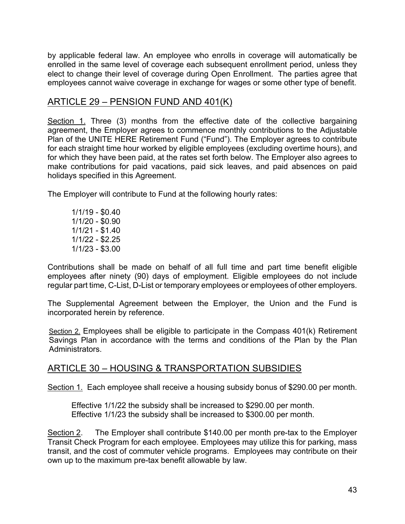by applicable federal law. An employee who enrolls in coverage will automatically be enrolled in the same level of coverage each subsequent enrollment period, unless they elect to change their level of coverage during Open Enrollment. The parties agree that employees cannot waive coverage in exchange for wages or some other type of benefit.

### ARTICLE 29 – PENSION FUND AND 401(K)

Section 1. Three (3) months from the effective date of the collective bargaining agreement, the Employer agrees to commence monthly contributions to the Adjustable Plan of the UNITE HERE Retirement Fund ("Fund"). The Employer agrees to contribute for each straight time hour worked by eligible employees (excluding overtime hours), and for which they have been paid, at the rates set forth below. The Employer also agrees to make contributions for paid vacations, paid sick leaves, and paid absences on paid holidays specified in this Agreement.

The Employer will contribute to Fund at the following hourly rates:

1/1/19 - \$0.40 1/1/20 - \$0.90 1/1/21 - \$1.40 1/1/22 - \$2.25 1/1/23 - \$3.00

Contributions shall be made on behalf of all full time and part time benefit eligible employees after ninety (90) days of employment. Eligible employees do not include regular part time, C-List, D-List or temporary employees or employees of other employers.

The Supplemental Agreement between the Employer, the Union and the Fund is incorporated herein by reference.

Section 2. Employees shall be eligible to participate in the Compass 401(k) Retirement Savings Plan in accordance with the terms and conditions of the Plan by the Plan Administrators.

# ARTICLE 30 – HOUSING & TRANSPORTATION SUBSIDIES

Section 1. Each employee shall receive a housing subsidy bonus of \$290.00 per month.

Effective 1/1/22 the subsidy shall be increased to \$290.00 per month. Effective 1/1/23 the subsidy shall be increased to \$300.00 per month.

Section 2. The Employer shall contribute \$140.00 per month pre-tax to the Employer Transit Check Program for each employee. Employees may utilize this for parking, mass transit, and the cost of commuter vehicle programs. Employees may contribute on their own up to the maximum pre-tax benefit allowable by law.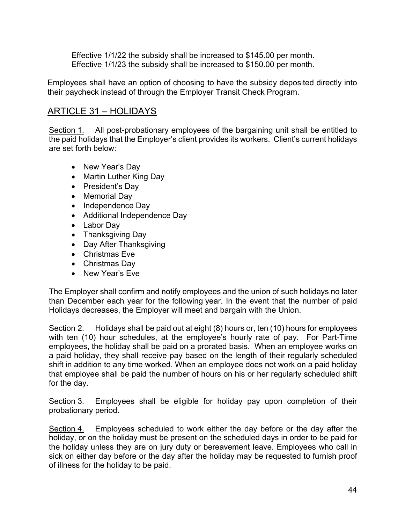Effective 1/1/22 the subsidy shall be increased to \$145.00 per month. Effective 1/1/23 the subsidy shall be increased to \$150.00 per month.

Employees shall have an option of choosing to have the subsidy deposited directly into their paycheck instead of through the Employer Transit Check Program.

# ARTICLE 31 – HOLIDAYS

Section 1. All post-probationary employees of the bargaining unit shall be entitled to the paid holidays that the Employer's client provides its workers. Client's current holidays are set forth below:

- New Year's Day
- Martin Luther King Day
- President's Day
- Memorial Day
- Independence Day
- Additional Independence Day
- Labor Day
- Thanksgiving Day
- Day After Thanksgiving
- Christmas Eve
- Christmas Day
- New Year's Eve

The Employer shall confirm and notify employees and the union of such holidays no later than December each year for the following year. In the event that the number of paid Holidays decreases, the Employer will meet and bargain with the Union.

Section 2. Holidays shall be paid out at eight (8) hours or, ten (10) hours for employees with ten (10) hour schedules, at the employee's hourly rate of pay. For Part-Time employees, the holiday shall be paid on a prorated basis. When an employee works on a paid holiday, they shall receive pay based on the length of their regularly scheduled shift in addition to any time worked. When an employee does not work on a paid holiday that employee shall be paid the number of hours on his or her regularly scheduled shift for the day.

Section 3. Employees shall be eligible for holiday pay upon completion of their probationary period.

Section 4. Employees scheduled to work either the day before or the day after the holiday, or on the holiday must be present on the scheduled days in order to be paid for the holiday unless they are on jury duty or bereavement leave. Employees who call in sick on either day before or the day after the holiday may be requested to furnish proof of illness for the holiday to be paid.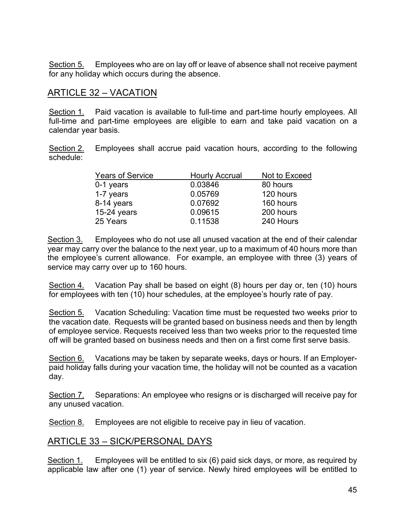Section 5. Employees who are on lay off or leave of absence shall not receive payment for any holiday which occurs during the absence.

### ARTICLE 32 – VACATION

Section 1. Paid vacation is available to full-time and part-time hourly employees. All full-time and part-time employees are eligible to earn and take paid vacation on a calendar year basis.

Section 2. Employees shall accrue paid vacation hours, according to the following schedule:

| <b>Years of Service</b> | <b>Hourly Accrual</b> | Not to Exceed |
|-------------------------|-----------------------|---------------|
| $0-1$ years             | 0.03846               | 80 hours      |
| 1-7 years               | 0.05769               | 120 hours     |
| 8-14 years              | 0.07692               | 160 hours     |
| $15-24$ years           | 0.09615               | 200 hours     |
| 25 Years                | 0.11538               | 240 Hours     |

Section 3. Employees who do not use all unused vacation at the end of their calendar year may carry over the balance to the next year, up to a maximum of 40 hours more than the employee's current allowance. For example, an employee with three (3) years of service may carry over up to 160 hours.

Section 4. Vacation Pay shall be based on eight (8) hours per day or, ten (10) hours for employees with ten (10) hour schedules, at the employee's hourly rate of pay.

Section 5. Vacation Scheduling: Vacation time must be requested two weeks prior to the vacation date. Requests will be granted based on business needs and then by length of employee service. Requests received less than two weeks prior to the requested time off will be granted based on business needs and then on a first come first serve basis.

Section 6. Vacations may be taken by separate weeks, days or hours. If an Employerpaid holiday falls during your vacation time, the holiday will not be counted as a vacation day.

Section 7. Separations: An employee who resigns or is discharged will receive pay for any unused vacation.

Section 8. Employees are not eligible to receive pay in lieu of vacation.

# ARTICLE 33 – SICK/PERSONAL DAYS

Section 1. Employees will be entitled to six (6) paid sick days, or more, as required by applicable law after one (1) year of service. Newly hired employees will be entitled to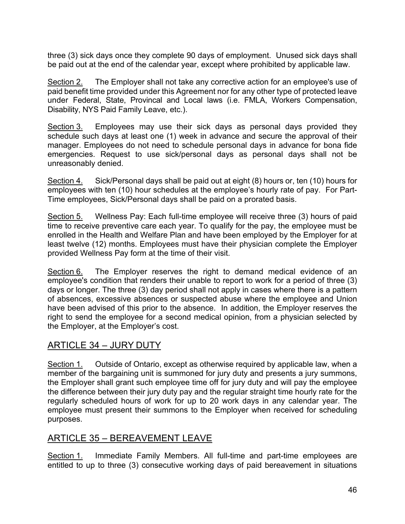three (3) sick days once they complete 90 days of employment. Unused sick days shall be paid out at the end of the calendar year, except where prohibited by applicable law.

Section 2. The Employer shall not take any corrective action for an employee's use of paid benefit time provided under this Agreement nor for any other type of protected leave under Federal, State, Provincal and Local laws (i.e. FMLA, Workers Compensation, Disability, NYS Paid Family Leave, etc.).

Section 3. Employees may use their sick days as personal days provided they schedule such days at least one (1) week in advance and secure the approval of their manager. Employees do not need to schedule personal days in advance for bona fide emergencies. Request to use sick/personal days as personal days shall not be unreasonably denied.

Section 4. Sick/Personal days shall be paid out at eight (8) hours or, ten (10) hours for employees with ten (10) hour schedules at the employee's hourly rate of pay. For Part-Time employees, Sick/Personal days shall be paid on a prorated basis.

Section 5. Wellness Pay: Each full-time employee will receive three (3) hours of paid time to receive preventive care each year. To qualify for the pay, the employee must be enrolled in the Health and Welfare Plan and have been employed by the Employer for at least twelve (12) months. Employees must have their physician complete the Employer provided Wellness Pay form at the time of their visit.

Section 6. The Employer reserves the right to demand medical evidence of an employee's condition that renders their unable to report to work for a period of three (3) days or longer. The three (3) day period shall not apply in cases where there is a pattern of absences, excessive absences or suspected abuse where the employee and Union have been advised of this prior to the absence. In addition, the Employer reserves the right to send the employee for a second medical opinion, from a physician selected by the Employer, at the Employer's cost.

# ARTICLE 34 – JURY DUTY

Section 1. Outside of Ontario, except as otherwise required by applicable law, when a member of the bargaining unit is summoned for jury duty and presents a jury summons, the Employer shall grant such employee time off for jury duty and will pay the employee the difference between their jury duty pay and the regular straight time hourly rate for the regularly scheduled hours of work for up to 20 work days in any calendar year. The employee must present their summons to the Employer when received for scheduling purposes.

# ARTICLE 35 – BEREAVEMENT LEAVE

Section 1. Immediate Family Members. All full-time and part-time employees are entitled to up to three (3) consecutive working days of paid bereavement in situations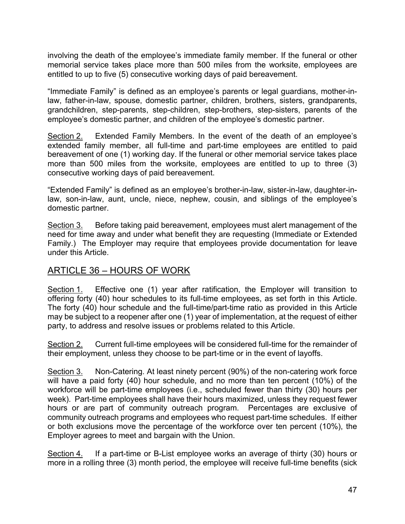involving the death of the employee's immediate family member. If the funeral or other memorial service takes place more than 500 miles from the worksite, employees are entitled to up to five (5) consecutive working days of paid bereavement.

"Immediate Family" is defined as an employee's parents or legal guardians, mother-inlaw, father-in-law, spouse, domestic partner, children, brothers, sisters, grandparents, grandchildren, step-parents, step-children, step-brothers, step-sisters, parents of the employee's domestic partner, and children of the employee's domestic partner.

Section 2. Extended Family Members. In the event of the death of an employee's extended family member, all full-time and part-time employees are entitled to paid bereavement of one (1) working day. If the funeral or other memorial service takes place more than 500 miles from the worksite, employees are entitled to up to three (3) consecutive working days of paid bereavement.

"Extended Family" is defined as an employee's brother-in-law, sister-in-law, daughter-inlaw, son-in-law, aunt, uncle, niece, nephew, cousin, and siblings of the employee's domestic partner.

Section 3. Before taking paid bereavement, employees must alert management of the need for time away and under what benefit they are requesting (Immediate or Extended Family.) The Employer may require that employees provide documentation for leave under this Article.

# ARTICLE 36 – HOURS OF WORK

Section 1. Effective one (1) year after ratification, the Employer will transition to offering forty (40) hour schedules to its full-time employees, as set forth in this Article. The forty (40) hour schedule and the full-time/part-time ratio as provided in this Article may be subject to a reopener after one (1) year of implementation, at the request of either party, to address and resolve issues or problems related to this Article.

Section 2. Current full-time employees will be considered full-time for the remainder of their employment, unless they choose to be part-time or in the event of layoffs.

Section 3. Non-Catering. At least ninety percent (90%) of the non-catering work force will have a paid forty (40) hour schedule, and no more than ten percent (10%) of the workforce will be part-time employees (i.e., scheduled fewer than thirty (30) hours per week). Part-time employees shall have their hours maximized, unless they request fewer hours or are part of community outreach program. Percentages are exclusive of community outreach programs and employees who request part-time schedules. If either or both exclusions move the percentage of the workforce over ten percent (10%), the Employer agrees to meet and bargain with the Union.

Section 4. If a part-time or B-List employee works an average of thirty (30) hours or more in a rolling three (3) month period, the employee will receive full-time benefits (sick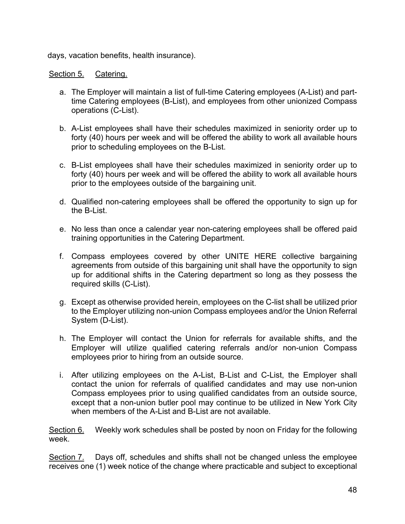days, vacation benefits, health insurance).

#### Section 5. Catering.

- a. The Employer will maintain a list of full-time Catering employees (A-List) and parttime Catering employees (B-List), and employees from other unionized Compass operations (C-List).
- b. A-List employees shall have their schedules maximized in seniority order up to forty (40) hours per week and will be offered the ability to work all available hours prior to scheduling employees on the B-List.
- c. B-List employees shall have their schedules maximized in seniority order up to forty (40) hours per week and will be offered the ability to work all available hours prior to the employees outside of the bargaining unit.
- d. Qualified non-catering employees shall be offered the opportunity to sign up for the B-List.
- e. No less than once a calendar year non-catering employees shall be offered paid training opportunities in the Catering Department.
- f. Compass employees covered by other UNITE HERE collective bargaining agreements from outside of this bargaining unit shall have the opportunity to sign up for additional shifts in the Catering department so long as they possess the required skills (C-List).
- g. Except as otherwise provided herein, employees on the C-list shall be utilized prior to the Employer utilizing non-union Compass employees and/or the Union Referral System (D-List).
- h. The Employer will contact the Union for referrals for available shifts, and the Employer will utilize qualified catering referrals and/or non-union Compass employees prior to hiring from an outside source.
- i. After utilizing employees on the A-List, B-List and C-List, the Employer shall contact the union for referrals of qualified candidates and may use non-union Compass employees prior to using qualified candidates from an outside source, except that a non-union butler pool may continue to be utilized in New York City when members of the A-List and B-List are not available.

Section 6. Weekly work schedules shall be posted by noon on Friday for the following week.

Section 7. Days off, schedules and shifts shall not be changed unless the employee receives one (1) week notice of the change where practicable and subject to exceptional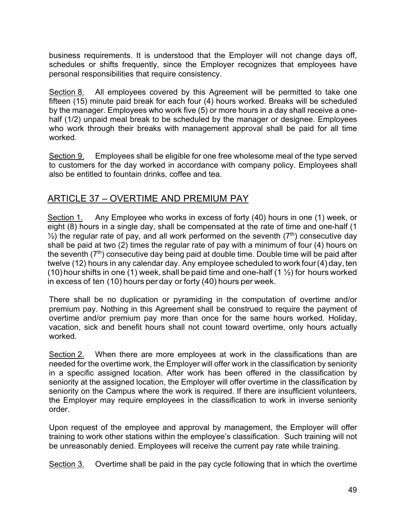business requirements. It is understood that the Employer will not change days off, schedules or shifts frequently, since the Employer recognizes that employees have personal responsibilities that require consistency.

Section 8. All employees covered by this Agreement will be permitted to take one fifteen (15) minute paid break for each four (4) hours worked. Breaks will be scheduled by the manager. Employees who work five (5) or more hours in a day shall receive a onehalf (1/2) unpaid meal break to be scheduled by the manager or designee. Employees who work through their breaks with management approval shall be paid for all time worked.

Section 9. Employees shall be eligible for one free wholesome meal of the type served to customers for the day worked in accordance with company policy. Employees shall also be entitled to fountain drinks, coffee and tea.

# ARTICLE 37 – OVERTIME AND PREMIUM PAY

Section 1. Any Employee who works in excess of forty (40) hours in one (1) week, or eight (8) hours in a single day, shall be compensated at the rate of time and one-half (1  $\frac{1}{2}$ ) the regular rate of pay, and all work performed on the seventh ( $7<sup>th</sup>$ ) consecutive day shall be paid at two (2) times the regular rate of pay with a minimum of four (4) hours on the seventh  $(7<sup>th</sup>)$  consecutive day being paid at double time. Double time will be paid after twelve (12) hours in any calendar day. Any employee scheduled to work four(4) day, ten (10) hour shifts in one (1) week, shall be paid time and one-half (1  $\frac{1}{2}$ ) for hours worked in excess of ten (10) hours per day or forty (40) hours per week.

There shall be no duplication or pyramiding in the computation of overtime and/or premium pay. Nothing in this Agreement shall be construed to require the payment of overtime and/or premium pay more than once for the same hours worked. Holiday, vacation, sick and benefit hours shall not count toward overtime, only hours actually worked.

Section 2. When there are more employees at work in the classifications than are needed for the overtime work, the Employer will offer work in the classification by seniority in a specific assigned location. After work has been offered in the classification by seniority at the assigned location, the Employer will offer overtime in the classification by seniority on the Campus where the work is required. If there are insufficient volunteers, the Employer may require employees in the classification to work in inverse seniority order.

Upon request of the employee and approval by management, the Employer will offer training to work other stations within the employee's classification. Such training will not be unreasonably denied. Employees will receive the current pay rate while training.

Section 3. Overtime shall be paid in the pay cycle following that in which the overtime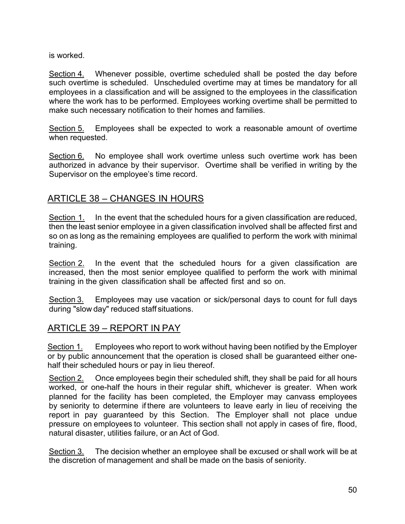is worked.

Section 4. Whenever possible, overtime scheduled shall be posted the day before such overtime is scheduled. Unscheduled overtime may at times be mandatory for all employees in a classification and will be assigned to the employees in the classification where the work has to be performed. Employees working overtime shall be permitted to make such necessary notification to their homes and families.

Section 5. Employees shall be expected to work a reasonable amount of overtime when requested.

Section 6. No employee shall work overtime unless such overtime work has been authorized in advance by their supervisor. Overtime shall be verified in writing by the Supervisor on the employee's time record.

# ARTICLE 38 – CHANGES IN HOURS

Section 1. In the event that the scheduled hours for a given classification are reduced, then the least senior employee in a given classification involved shall be affected first and so on as long as the remaining employees are qualified to perform the work with minimal training.

Section 2. In the event that the scheduled hours for a given classification are increased, then the most senior employee qualified to perform the work with minimal training in the given classification shall be affected first and so on.

Section 3. Employees may use vacation or sick/personal days to count for full days during "slow day" reduced staff situations.

# ARTICLE 39 – REPORT IN PAY

Section 1. Employees who report to work without having been notified by the Employer or by public announcement that the operation is closed shall be guaranteed either onehalf their scheduled hours or pay in lieu thereof.

Section 2. Once employees begin their scheduled shift, they shall be paid for all hours worked, or one-half the hours in their regular shift, whichever is greater. When work planned for the facility has been completed, the Employer may canvass employees by seniority to determine if there are volunteers to leave early in lieu of receiving the report in pay guaranteed by this Section. The Employer shall not place undue pressure on employees to volunteer. This section shall not apply in cases of fire, flood, natural disaster, utilities failure, or an Act of God.

Section 3. The decision whether an employee shall be excused or shall work will be at the discretion of management and shall be made on the basis of seniority.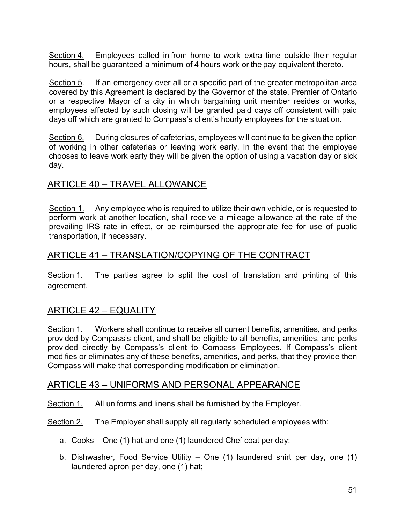Section 4. Employees called in from home to work extra time outside their regular hours, shall be guaranteed a minimum of 4 hours work or the pay equivalent thereto.

Section 5. If an emergency over all or a specific part of the greater metropolitan area covered by this Agreement is declared by the Governor of the state, Premier of Ontario or a respective Mayor of a city in which bargaining unit member resides or works, employees affected by such closing will be granted paid days off consistent with paid days off which are granted to Compass's client's hourly employees for the situation.

Section 6. During closures of cafeterias, employees will continue to be given the option of working in other cafeterias or leaving work early. In the event that the employee chooses to leave work early they will be given the option of using a vacation day or sick day.

# ARTICLE 40 – TRAVEL ALLOWANCE

Section 1. Any employee who is required to utilize their own vehicle, or is requested to perform work at another location, shall receive a mileage allowance at the rate of the prevailing IRS rate in effect, or be reimbursed the appropriate fee for use of public transportation, if necessary.

# ARTICLE 41 – TRANSLATION/COPYING OF THE CONTRACT

Section 1. The parties agree to split the cost of translation and printing of this agreement.

# ARTICLE 42 – EQUALITY

Section 1. Workers shall continue to receive all current benefits, amenities, and perks provided by Compass's client, and shall be eligible to all benefits, amenities, and perks provided directly by Compass's client to Compass Employees. If Compass's client modifies or eliminates any of these benefits, amenities, and perks, that they provide then Compass will make that corresponding modification or elimination.

# ARTICLE 43 – UNIFORMS AND PERSONAL APPEARANCE

- Section 1. All uniforms and linens shall be furnished by the Employer.
- Section 2. The Employer shall supply all regularly scheduled employees with:
	- a. Cooks One (1) hat and one (1) laundered Chef coat per day;
	- b. Dishwasher, Food Service Utility One (1) laundered shirt per day, one (1) laundered apron per day, one (1) hat;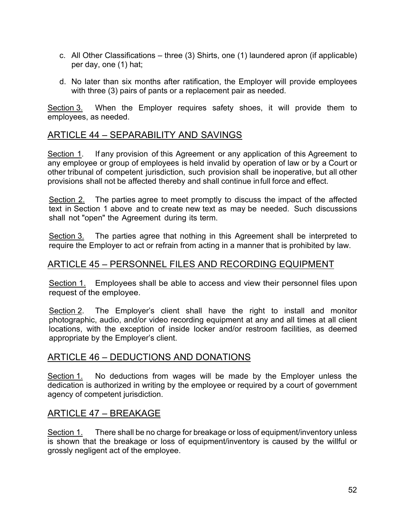- c. All Other Classifications three (3) Shirts, one (1) laundered apron (if applicable) per day, one (1) hat;
- d. No later than six months after ratification, the Employer will provide employees with three (3) pairs of pants or a replacement pair as needed.

Section 3. When the Employer requires safety shoes, it will provide them to employees, as needed.

# ARTICLE 44 – SEPARABILITY AND SAVINGS

Section 1. If any provision of this Agreement or any application of this Agreement to any employee or group of employees is held invalid by operation of law or by a Court or other tribunal of competent jurisdiction, such provision shall be inoperative, but all other provisions shall not be affected thereby and shall continue infull force and effect.

Section 2. The parties agree to meet promptly to discuss the impact of the affected text in Section 1 above and to create new text as may be needed. Such discussions shall not "open" the Agreement during its term.

Section 3. The parties agree that nothing in this Agreement shall be interpreted to require the Employer to act or refrain from acting in a manner that is prohibited by law.

### ARTICLE 45 – PERSONNEL FILES AND RECORDING EQUIPMENT

Section 1. Employees shall be able to access and view their personnel files upon request of the employee.

Section 2. The Employer's client shall have the right to install and monitor photographic, audio, and/or video recording equipment at any and all times at all client locations, with the exception of inside locker and/or restroom facilities, as deemed appropriate by the Employer's client.

### ARTICLE 46 – DEDUCTIONS AND DONATIONS

Section 1. No deductions from wages will be made by the Employer unless the dedication is authorized in writing by the employee or required by a court of government agency of competent jurisdiction.

### ARTICLE 47 – BREAKAGE

Section 1. There shall be no charge for breakage or loss of equipment/inventory unless is shown that the breakage or loss of equipment/inventory is caused by the willful or grossly negligent act of the employee.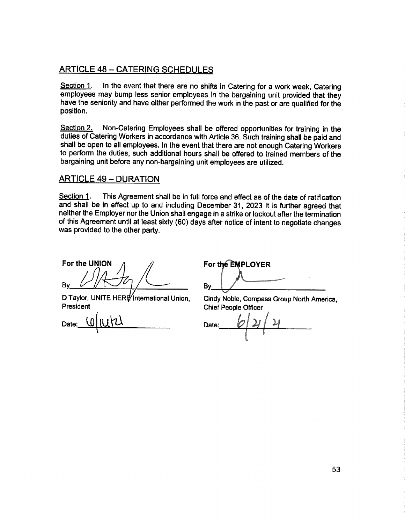### **ARTICLE 48 - CATERING SCHEDULES**

Section 1. In the event that there are no shifts in Catering for a work week, Catering employees may bump less senior employees in the bargaining unit provided that they have the seniority and have either performed the work in the past or are qualified for the position.

Section 2. Non-Catering Employees shall be offered opportunities for training in the duties of Catering Workers in accordance with Article 36. Such training shall be paid and shall be open to all employees. In the event that there are not enough Catering Workers to perform the duties, such additional hours shall be offered to trained members of the bargaining unit before any non-bargaining unit employees are utilized.

#### **ARTICLE 49 - DURATION**

Section 1. This Agreement shall be in full force and effect as of the date of ratification and shall be in effect up to and including December 31, 2023 It is further agreed that neither the Employer nor the Union shall engage in a strike or lockout after the termination of this Agreement until at least sixty (60) days after notice of intent to negotiate changes was provided to the other party.

For the UNION By

D Taylor, UNITE HERE International Union. President

Date:

For the EMPLOYER By

Cindy Noble, Compass Group North America, **Chief People Officer** 

Date: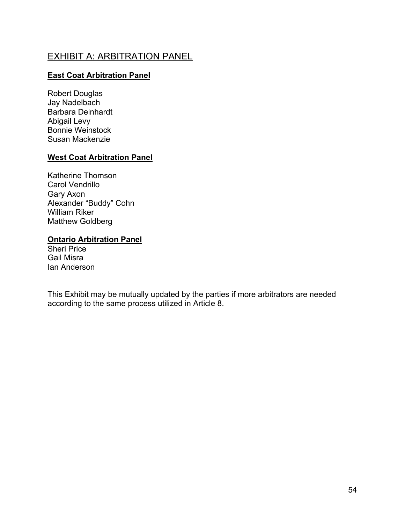# EXHIBIT A: ARBITRATION PANEL

### **East Coat Arbitration Panel**

Robert Douglas Jay Nadelbach Barbara Deinhardt Abigail Levy Bonnie Weinstock Susan Mackenzie

#### **West Coat Arbitration Panel**

Katherine Thomson Carol Vendrillo Gary Axon Alexander "Buddy" Cohn William Riker Matthew Goldberg

#### **Ontario Arbitration Panel**

Sheri Price Gail Misra Ian Anderson

This Exhibit may be mutually updated by the parties if more arbitrators are needed according to the same process utilized in Article 8.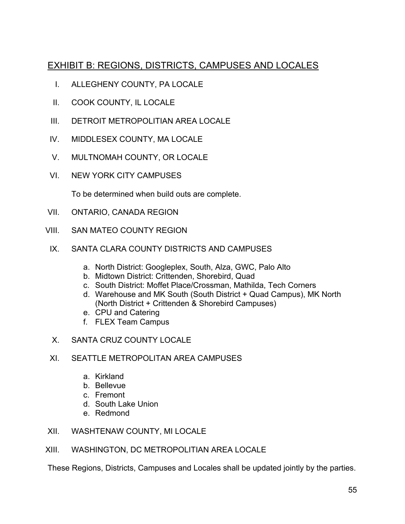# EXHIBIT B: REGIONS, DISTRICTS, CAMPUSES AND LOCALES

- I. ALLEGHENY COUNTY, PA LOCALE
- II. COOK COUNTY, IL LOCALE
- III. DETROIT METROPOLITIAN AREA LOCALE
- IV. MIDDLESEX COUNTY, MA LOCALE
- V. MULTNOMAH COUNTY, OR LOCALE
- VI. NEW YORK CITY CAMPUSES

To be determined when build outs are complete.

- VII. ONTARIO, CANADA REGION
- VIII. SAN MATEO COUNTY REGION
	- IX. SANTA CLARA COUNTY DISTRICTS AND CAMPUSES
		- a. North District: Googleplex, South, Alza, GWC, Palo Alto
		- b. Midtown District: Crittenden, Shorebird, Quad
		- c. South District: Moffet Place/Crossman, Mathilda, Tech Corners
		- d. Warehouse and MK South (South District + Quad Campus), MK North (North District + Crittenden & Shorebird Campuses)
		- e. CPU and Catering
		- f. FLEX Team Campus
	- X. SANTA CRUZ COUNTY LOCALE
	- XI. SEATTLE METROPOLITAN AREA CAMPUSES
		- a. Kirkland
		- b. Bellevue
		- c. Fremont
		- d. South Lake Union
		- e. Redmond
- XII. WASHTENAW COUNTY, MI LOCALE

#### XIII. WASHINGTON, DC METROPOLITIAN AREA LOCALE

These Regions, Districts, Campuses and Locales shall be updated jointly by the parties.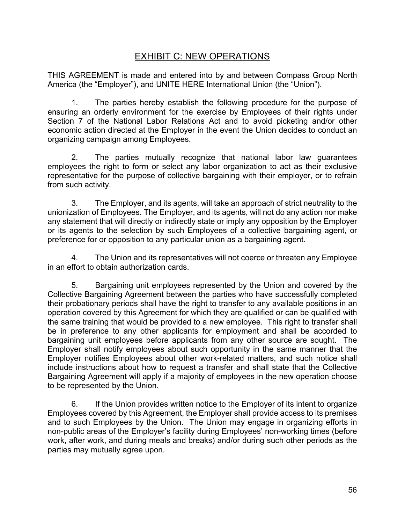# EXHIBIT C: NEW OPERATIONS

THIS AGREEMENT is made and entered into by and between Compass Group North America (the "Employer"), and UNITE HERE International Union (the "Union").

1. The parties hereby establish the following procedure for the purpose of ensuring an orderly environment for the exercise by Employees of their rights under Section 7 of the National Labor Relations Act and to avoid picketing and/or other economic action directed at the Employer in the event the Union decides to conduct an organizing campaign among Employees.

2. The parties mutually recognize that national labor law guarantees employees the right to form or select any labor organization to act as their exclusive representative for the purpose of collective bargaining with their employer, or to refrain from such activity.

3. The Employer, and its agents, will take an approach of strict neutrality to the unionization of Employees. The Employer, and its agents, will not do any action nor make any statement that will directly or indirectly state or imply any opposition by the Employer or its agents to the selection by such Employees of a collective bargaining agent, or preference for or opposition to any particular union as a bargaining agent.

4. The Union and its representatives will not coerce or threaten any Employee in an effort to obtain authorization cards.

5. Bargaining unit employees represented by the Union and covered by the Collective Bargaining Agreement between the parties who have successfully completed their probationary periods shall have the right to transfer to any available positions in an operation covered by this Agreement for which they are qualified or can be qualified with the same training that would be provided to a new employee. This right to transfer shall be in preference to any other applicants for employment and shall be accorded to bargaining unit employees before applicants from any other source are sought. The Employer shall notify employees about such opportunity in the same manner that the Employer notifies Employees about other work-related matters, and such notice shall include instructions about how to request a transfer and shall state that the Collective Bargaining Agreement will apply if a majority of employees in the new operation choose to be represented by the Union.

6. If the Union provides written notice to the Employer of its intent to organize Employees covered by this Agreement, the Employer shall provide access to its premises and to such Employees by the Union. The Union may engage in organizing efforts in non-public areas of the Employer's facility during Employees' non-working times (before work, after work, and during meals and breaks) and/or during such other periods as the parties may mutually agree upon.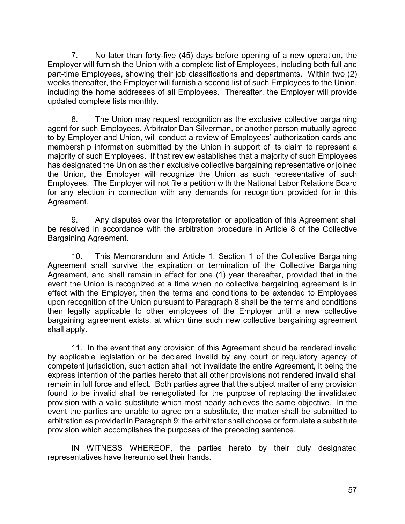7. No later than forty-five (45) days before opening of a new operation, the Employer will furnish the Union with a complete list of Employees, including both full and part-time Employees, showing their job classifications and departments. Within two (2) weeks thereafter, the Employer will furnish a second list of such Employees to the Union, including the home addresses of all Employees. Thereafter, the Employer will provide updated complete lists monthly.

8. The Union may request recognition as the exclusive collective bargaining agent for such Employees. Arbitrator Dan Silverman, or another person mutually agreed to by Employer and Union, will conduct a review of Employees' authorization cards and membership information submitted by the Union in support of its claim to represent a majority of such Employees. If that review establishes that a majority of such Employees has designated the Union as their exclusive collective bargaining representative or joined the Union, the Employer will recognize the Union as such representative of such Employees. The Employer will not file a petition with the National Labor Relations Board for any election in connection with any demands for recognition provided for in this Agreement.

9. Any disputes over the interpretation or application of this Agreement shall be resolved in accordance with the arbitration procedure in Article 8 of the Collective Bargaining Agreement.

10. This Memorandum and Article 1, Section 1 of the Collective Bargaining Agreement shall survive the expiration or termination of the Collective Bargaining Agreement, and shall remain in effect for one (1) year thereafter, provided that in the event the Union is recognized at a time when no collective bargaining agreement is in effect with the Employer, then the terms and conditions to be extended to Employees upon recognition of the Union pursuant to Paragraph 8 shall be the terms and conditions then legally applicable to other employees of the Employer until a new collective bargaining agreement exists, at which time such new collective bargaining agreement shall apply.

11. In the event that any provision of this Agreement should be rendered invalid by applicable legislation or be declared invalid by any court or regulatory agency of competent jurisdiction, such action shall not invalidate the entire Agreement, it being the express intention of the parties hereto that all other provisions not rendered invalid shall remain in full force and effect. Both parties agree that the subject matter of any provision found to be invalid shall be renegotiated for the purpose of replacing the invalidated provision with a valid substitute which most nearly achieves the same objective. In the event the parties are unable to agree on a substitute, the matter shall be submitted to arbitration as provided in Paragraph 9; the arbitrator shall choose or formulate a substitute provision which accomplishes the purposes of the preceding sentence.

IN WITNESS WHEREOF, the parties hereto by their duly designated representatives have hereunto set their hands.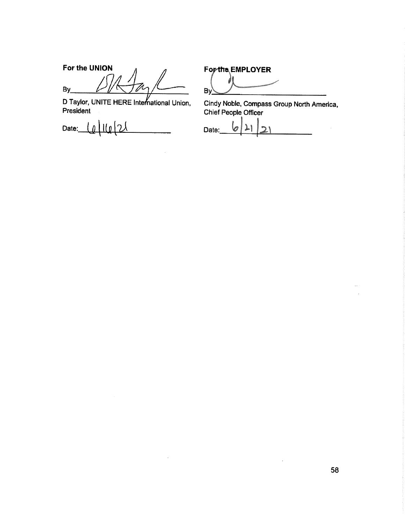For the UNION  $By$ 

D Taylor, UNITE HERE International Union,<br>President

 $\frac{1}{2}$ Date:

For the EMPLOYER

ś  $By$ 

Cindy Noble, Compass Group North America, Chief People Officer

l<br>V Date: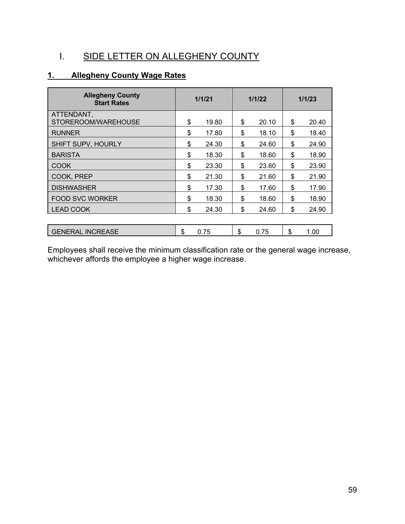# I. SIDE LETTER ON ALLEGHENY COUNTY

# **1. Allegheny County Wage Rates**

| <b>Allegheny County</b><br><b>Start Rates</b> | 1/1/21 |       | 1/1/22 |       | 1/1/23 |       |
|-----------------------------------------------|--------|-------|--------|-------|--------|-------|
| ATTENDANT,<br>STOREROOM/WAREHOUSE             | \$     | 19.80 | \$     | 20.10 | \$     | 20.40 |
| <b>RUNNER</b>                                 | \$     | 17.80 | \$     | 18.10 | \$     | 18.40 |
| SHIFT SUPV, HOURLY                            | \$     | 24.30 | \$     | 24.60 | \$     | 24.90 |
| <b>BARISTA</b>                                | \$     | 18.30 | \$     | 18.60 | \$     | 18.90 |
| COOK                                          | \$     | 23.30 | \$     | 23.60 | \$     | 23.90 |
| COOK, PREP                                    | \$     | 21.30 | \$     | 21.60 | \$     | 21.90 |
| <b>DISHWASHER</b>                             | \$     | 17.30 | \$     | 17.60 | \$     | 17.90 |
| <b>FOOD SVC WORKER</b>                        | \$     | 18.30 | \$     | 18.60 | \$     | 18.90 |
| <b>LEAD COOK</b>                              | \$     | 24.30 | \$     | 24.60 | \$     | 24.90 |
|                                               |        |       |        |       |        |       |
| <b>GENERAL INCREASE</b>                       | \$     | 0.75  | \$     | 0.75  | \$     | 1.00  |

Employees shall receive the minimum classification rate or the general wage increase, whichever affords the employee a higher wage increase.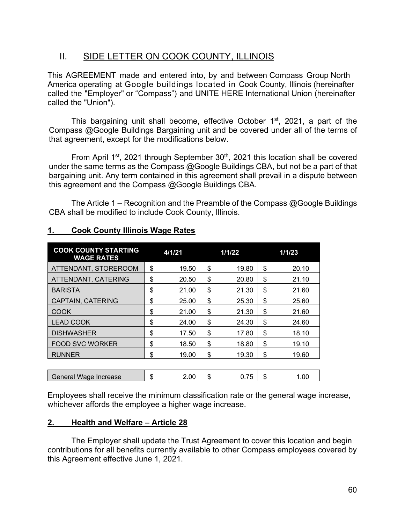# II. SIDE LETTER ON COOK COUNTY, ILLINOIS

This AGREEMENT made and entered into, by and between Compass Group North America operating at Google buildings located in Cook County, Illinois (hereinafter called the "Employer" or "Compass") and UNITE HERE International Union (hereinafter called the "Union").

This bargaining unit shall become, effective October  $1<sup>st</sup>$ , 2021, a part of the Compass @Google Buildings Bargaining unit and be covered under all of the terms of that agreement, except for the modifications below.

From April 1<sup>st</sup>, 2021 through September 30<sup>th</sup>, 2021 this location shall be covered under the same terms as the Compass @Google Buildings CBA, but not be a part of that bargaining unit. Any term contained in this agreement shall prevail in a dispute between this agreement and the Compass @Google Buildings CBA.

The Article 1 – Recognition and the Preamble of the Compass @Google Buildings CBA shall be modified to include Cook County, Illinois.

| <b>COOK COUNTY STARTING</b><br><b>WAGE RATES</b> | 4/1/21      | 1/1/22 |       | 1/1/23      |
|--------------------------------------------------|-------------|--------|-------|-------------|
| ATTENDANT, STOREROOM                             | \$<br>19.50 | \$     | 19.80 | \$<br>20.10 |
| ATTENDANT, CATERING                              | \$<br>20.50 | \$     | 20.80 | \$<br>21.10 |
| <b>BARISTA</b>                                   | \$<br>21.00 | \$     | 21.30 | \$<br>21.60 |
| <b>CAPTAIN, CATERING</b>                         | \$<br>25.00 | \$     | 25.30 | \$<br>25.60 |
| <b>COOK</b>                                      | \$<br>21.00 | \$     | 21.30 | \$<br>21.60 |
| <b>LEAD COOK</b>                                 | \$<br>24.00 | \$     | 24.30 | \$<br>24.60 |
| <b>DISHWASHER</b>                                | \$<br>17.50 | \$     | 17.80 | \$<br>18.10 |
| <b>FOOD SVC WORKER</b>                           | \$<br>18.50 | \$     | 18.80 | \$<br>19.10 |
| <b>RUNNER</b>                                    | \$<br>19.00 | \$     | 19.30 | \$<br>19.60 |
|                                                  |             |        |       |             |
| General Wage Increase                            | \$<br>2.00  | \$     | 0.75  | \$<br>1.00  |

### **1. Cook County Illinois Wage Rates**

Employees shall receive the minimum classification rate or the general wage increase, whichever affords the employee a higher wage increase.

#### **2. Health and Welfare – Article 28**

The Employer shall update the Trust Agreement to cover this location and begin contributions for all benefits currently available to other Compass employees covered by this Agreement effective June 1, 2021.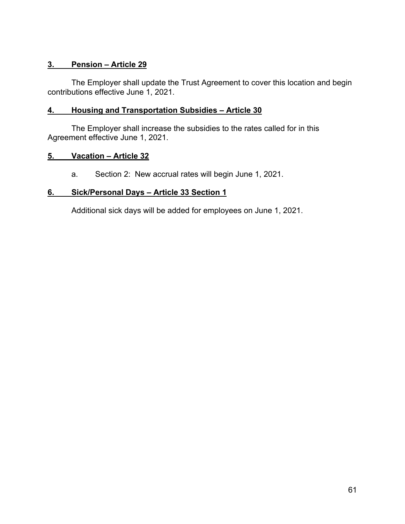### **3. Pension – Article 29**

The Employer shall update the Trust Agreement to cover this location and begin contributions effective June 1, 2021.

#### **4. Housing and Transportation Subsidies – Article 30**

The Employer shall increase the subsidies to the rates called for in this Agreement effective June 1, 2021.

#### **5. Vacation – Article 32**

a. Section 2: New accrual rates will begin June 1, 2021.

#### **6. Sick/Personal Days – Article 33 Section 1**

Additional sick days will be added for employees on June 1, 2021.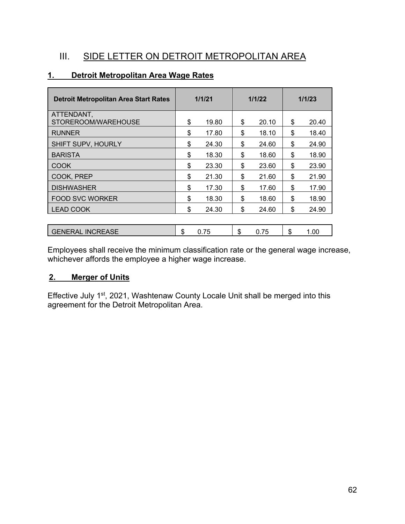# III. SIDE LETTER ON DETROIT METROPOLITAN AREA

| <b>Detroit Metropolitan Area Start Rates</b> | 1/1/21 |       | 1/1/22 |       | 1/1/23 |       |
|----------------------------------------------|--------|-------|--------|-------|--------|-------|
| ATTENDANT,<br>STOREROOM/WAREHOUSE            | \$     | 19.80 | \$     | 20.10 | \$     | 20.40 |
| <b>RUNNER</b>                                | \$     | 17.80 | \$     | 18.10 | \$     | 18.40 |
| SHIFT SUPV, HOURLY                           | \$     | 24.30 | \$     | 24.60 | \$     | 24.90 |
| <b>BARISTA</b>                               | \$     | 18.30 | \$     | 18.60 | \$     | 18.90 |
| <b>COOK</b>                                  | \$     | 23.30 | \$     | 23.60 | \$     | 23.90 |
| COOK, PREP                                   | \$     | 21.30 | \$     | 21.60 | \$     | 21.90 |
| <b>DISHWASHER</b>                            | \$     | 17.30 | \$     | 17.60 | \$     | 17.90 |
| <b>FOOD SVC WORKER</b>                       | \$     | 18.30 | \$     | 18.60 | \$     | 18.90 |
| <b>LEAD COOK</b>                             | \$     | 24.30 | \$     | 24.60 | \$     | 24.90 |
|                                              |        |       |        |       |        |       |
| <b>GENERAL INCREASE</b>                      | \$     | 0.75  | \$     | 0.75  | \$     | 1.00  |

### **1. Detroit Metropolitan Area Wage Rates**

Employees shall receive the minimum classification rate or the general wage increase, whichever affords the employee a higher wage increase.

### **2. Merger of Units**

Effective July 1<sup>st</sup>, 2021, Washtenaw County Locale Unit shall be merged into this agreement for the Detroit Metropolitan Area.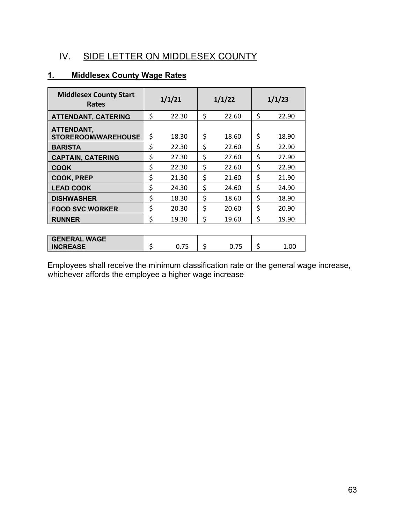# IV. SIDE LETTER ON MIDDLESEX COUNTY

### **1. Middlesex County Wage Rates**

| <b>Middlesex County Start</b><br>Rates   | 1/1/21      | 1/1/22 |       |    | 1/1/23 |  |  |
|------------------------------------------|-------------|--------|-------|----|--------|--|--|
| <b>ATTENDANT, CATERING</b>               | \$<br>22.30 | \$     | 22.60 | \$ | 22.90  |  |  |
| ATTENDANT,<br><b>STOREROOM/WAREHOUSE</b> | \$<br>18.30 | \$     | 18.60 | \$ | 18.90  |  |  |
| <b>BARISTA</b>                           | \$<br>22.30 | \$     | 22.60 | \$ | 22.90  |  |  |
| <b>CAPTAIN, CATERING</b>                 | \$<br>27.30 | \$     | 27.60 | \$ | 27.90  |  |  |
| COOK                                     | \$<br>22.30 | \$     | 22.60 | \$ | 22.90  |  |  |
| <b>COOK, PREP</b>                        | \$<br>21.30 | \$     | 21.60 | \$ | 21.90  |  |  |
| <b>LEAD COOK</b>                         | \$<br>24.30 | \$     | 24.60 | \$ | 24.90  |  |  |
| <b>DISHWASHER</b>                        | \$<br>18.30 | \$     | 18.60 | \$ | 18.90  |  |  |
| <b>FOOD SVC WORKER</b>                   | \$<br>20.30 | \$     | 20.60 | \$ | 20.90  |  |  |
| <b>RUNNER</b>                            | \$<br>19.30 | \$     | 19.60 | \$ | 19.90  |  |  |
|                                          |             |        |       |    |        |  |  |
| <b>GENERAL WAGE</b><br><b>INCREASE</b>   | \$<br>0.75  | \$     | 0.75  | \$ | 1.00   |  |  |

Employees shall receive the minimum classification rate or the general wage increase, whichever affords the employee a higher wage increase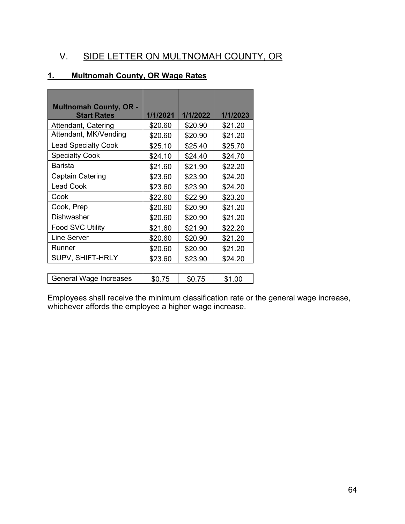# V. SIDE LETTER ON MULTNOMAH COUNTY, OR

### **1. Multnomah County, OR Wage Rates**

| <b>Multnomah County, OR -</b><br><b>Start Rates</b> | 1/1/2021 | 1/1/2022 | 1/1/2023 |
|-----------------------------------------------------|----------|----------|----------|
| Attendant, Catering                                 | \$20.60  | \$20.90  | \$21.20  |
| Attendant, MK/Vending                               | \$20.60  | \$20.90  | \$21.20  |
| <b>Lead Specialty Cook</b>                          | \$25.10  | \$25.40  | \$25.70  |
| <b>Specialty Cook</b>                               | \$24.10  | \$24.40  | \$24.70  |
| <b>Barista</b>                                      | \$21.60  | \$21.90  | \$22.20  |
| Captain Catering                                    | \$23.60  | \$23.90  | \$24.20  |
| <b>Lead Cook</b>                                    | \$23.60  | \$23.90  | \$24.20  |
| Cook                                                | \$22.60  | \$22.90  | \$23.20  |
| Cook, Prep                                          | \$20.60  | \$20.90  | \$21.20  |
| <b>Dishwasher</b>                                   | \$20.60  | \$20.90  | \$21.20  |
| <b>Food SVC Utility</b>                             | \$21.60  | \$21.90  | \$22.20  |
| Line Server                                         | \$20.60  | \$20.90  | \$21.20  |
| Runner                                              | \$20.60  | \$20.90  | \$21.20  |
| SUPV, SHIFT-HRLY                                    | \$23.60  | \$23.90  | \$24.20  |
|                                                     |          |          |          |
| General Wage Increases                              | \$0.75   | \$0.75   | \$1.00   |

Employees shall receive the minimum classification rate or the general wage increase, whichever affords the employee a higher wage increase.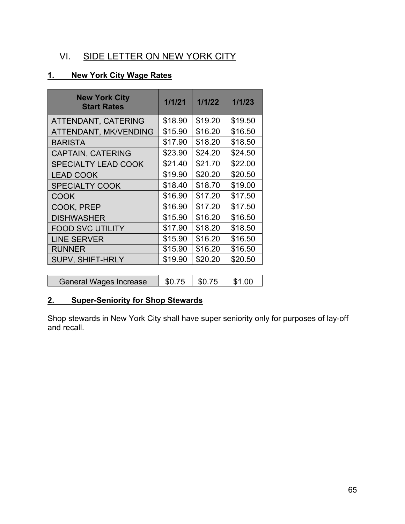# VI. SIDE LETTER ON NEW YORK CITY

### **1. New York City Wage Rates**

| <b>New York City</b><br><b>Start Rates</b> | 1/1/21  | 1/1/22  | 1/1/23  |
|--------------------------------------------|---------|---------|---------|
| ATTENDANT, CATERING                        | \$18.90 | \$19.20 | \$19.50 |
| ATTENDANT, MK/VENDING                      | \$15.90 | \$16.20 | \$16.50 |
| <b>BARISTA</b>                             | \$17.90 | \$18.20 | \$18.50 |
| <b>CAPTAIN, CATERING</b>                   | \$23.90 | \$24.20 | \$24.50 |
| <b>SPECIALTY LEAD COOK</b>                 | \$21.40 | \$21.70 | \$22.00 |
| <b>LEAD COOK</b>                           | \$19.90 | \$20.20 | \$20.50 |
| <b>SPECIALTY COOK</b>                      | \$18.40 | \$18.70 | \$19.00 |
| <b>COOK</b>                                | \$16.90 | \$17.20 | \$17.50 |
| COOK, PREP                                 | \$16.90 | \$17.20 | \$17.50 |
| <b>DISHWASHER</b>                          | \$15.90 | \$16.20 | \$16.50 |
| <b>FOOD SVC UTILITY</b>                    | \$17.90 | \$18.20 | \$18.50 |
| <b>LINE SERVER</b>                         | \$15.90 | \$16.20 | \$16.50 |
| <b>RUNNER</b>                              | \$15.90 | \$16.20 | \$16.50 |
| <b>SUPV, SHIFT-HRLY</b>                    | \$19.90 | \$20.20 | \$20.50 |
|                                            |         |         |         |
| General Wages Increase                     | \$0.75  | \$0.75  | \$1.00  |

# **2. Super-Seniority for Shop Stewards**

Shop stewards in New York City shall have super seniority only for purposes of lay-off and recall.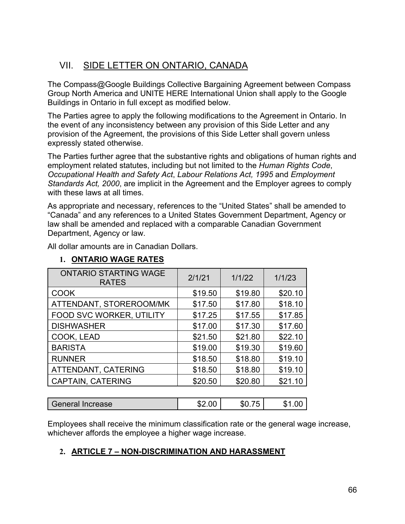# VII. SIDE LETTER ON ONTARIO, CANADA

The Compass@Google Buildings Collective Bargaining Agreement between Compass Group North America and UNITE HERE International Union shall apply to the Google Buildings in Ontario in full except as modified below.

The Parties agree to apply the following modifications to the Agreement in Ontario. In the event of any inconsistency between any provision of this Side Letter and any provision of the Agreement, the provisions of this Side Letter shall govern unless expressly stated otherwise.

The Parties further agree that the substantive rights and obligations of human rights and employment related statutes, including but not limited to the *Human Rights Code*, *Occupational Health and Safety Act*, *Labour Relations Act, 1995* and *Employment Standards Act, 2000*, are implicit in the Agreement and the Employer agrees to comply with these laws at all times.

As appropriate and necessary, references to the "United States" shall be amended to "Canada" and any references to a United States Government Department, Agency or law shall be amended and replaced with a comparable Canadian Government Department, Agency or law.

All dollar amounts are in Canadian Dollars.

### **1. ONTARIO WAGE RATES**

| <b>ONTARIO STARTING WAGE</b><br><b>RATES</b> | 2/1/21  | 1/1/22  | 1/1/23  |
|----------------------------------------------|---------|---------|---------|
| <b>COOK</b>                                  | \$19.50 | \$19.80 | \$20.10 |
| ATTENDANT, STOREROOM/MK                      | \$17.50 | \$17.80 | \$18.10 |
| FOOD SVC WORKER, UTILITY                     | \$17.25 | \$17.55 | \$17.85 |
| <b>DISHWASHER</b>                            | \$17.00 | \$17.30 | \$17.60 |
| COOK, LEAD                                   | \$21.50 | \$21.80 | \$22.10 |
| <b>BARISTA</b>                               | \$19.00 | \$19.30 | \$19.60 |
| <b>RUNNER</b>                                | \$18.50 | \$18.80 | \$19.10 |
| ATTENDANT, CATERING                          | \$18.50 | \$18.80 | \$19.10 |
| CAPTAIN, CATERING                            | \$20.50 | \$20.80 | \$21.10 |
|                                              |         |         |         |

| \$2.00<br>.00<br><b>\$0.,</b><br>General Increase<br>י ה<br>Œ<br>- 12 |
|-----------------------------------------------------------------------|
|-----------------------------------------------------------------------|

Employees shall receive the minimum classification rate or the general wage increase, whichever affords the employee a higher wage increase.

### **2. ARTICLE 7 – NON-DISCRIMINATION AND HARASSMENT**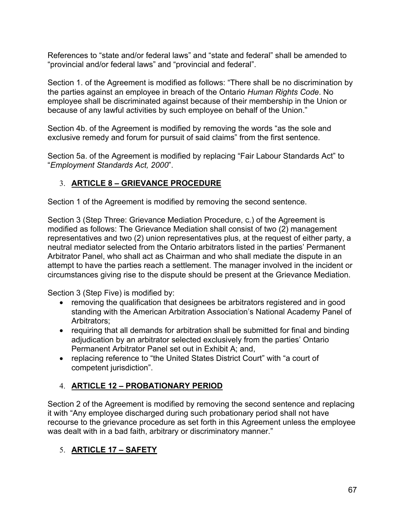References to "state and/or federal laws" and "state and federal" shall be amended to "provincial and/or federal laws" and "provincial and federal".

Section 1. of the Agreement is modified as follows: "There shall be no discrimination by the parties against an employee in breach of the Ontario *Human Rights Code*. No employee shall be discriminated against because of their membership in the Union or because of any lawful activities by such employee on behalf of the Union."

Section 4b. of the Agreement is modified by removing the words "as the sole and exclusive remedy and forum for pursuit of said claims" from the first sentence.

Section 5a. of the Agreement is modified by replacing "Fair Labour Standards Act" to "*Employment Standards Act, 2000*".

### 3. **ARTICLE 8 – GRIEVANCE PROCEDURE**

Section 1 of the Agreement is modified by removing the second sentence.

Section 3 (Step Three: Grievance Mediation Procedure, c.) of the Agreement is modified as follows: The Grievance Mediation shall consist of two (2) management representatives and two (2) union representatives plus, at the request of either party, a neutral mediator selected from the Ontario arbitrators listed in the parties' Permanent Arbitrator Panel, who shall act as Chairman and who shall mediate the dispute in an attempt to have the parties reach a settlement. The manager involved in the incident or circumstances giving rise to the dispute should be present at the Grievance Mediation.

Section 3 (Step Five) is modified by:

- removing the qualification that designees be arbitrators registered and in good standing with the American Arbitration Association's National Academy Panel of Arbitrators;
- requiring that all demands for arbitration shall be submitted for final and binding adjudication by an arbitrator selected exclusively from the parties' Ontario Permanent Arbitrator Panel set out in Exhibit A; and,
- replacing reference to "the United States District Court" with "a court of competent jurisdiction".

### 4. **ARTICLE 12 – PROBATIONARY PERIOD**

Section 2 of the Agreement is modified by removing the second sentence and replacing it with "Any employee discharged during such probationary period shall not have recourse to the grievance procedure as set forth in this Agreement unless the employee was dealt with in a bad faith, arbitrary or discriminatory manner."

### 5. **ARTICLE 17 – SAFETY**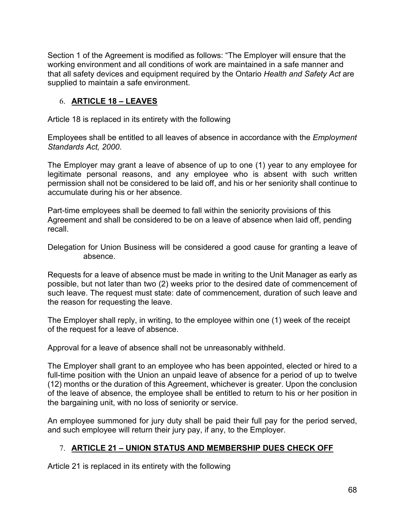Section 1 of the Agreement is modified as follows: "The Employer will ensure that the working environment and all conditions of work are maintained in a safe manner and that all safety devices and equipment required by the Ontario *Health and Safety Act* are supplied to maintain a safe environment.

### 6. **ARTICLE 18 – LEAVES**

Article 18 is replaced in its entirety with the following

Employees shall be entitled to all leaves of absence in accordance with the *Employment Standards Act, 2000*.

The Employer may grant a leave of absence of up to one (1) year to any employee for legitimate personal reasons, and any employee who is absent with such written permission shall not be considered to be laid off, and his or her seniority shall continue to accumulate during his or her absence.

Part-time employees shall be deemed to fall within the seniority provisions of this Agreement and shall be considered to be on a leave of absence when laid off, pending recall.

Delegation for Union Business will be considered a good cause for granting a leave of absence.

Requests for a leave of absence must be made in writing to the Unit Manager as early as possible, but not later than two (2) weeks prior to the desired date of commencement of such leave. The request must state: date of commencement, duration of such leave and the reason for requesting the leave.

The Employer shall reply, in writing, to the employee within one (1) week of the receipt of the request for a leave of absence.

Approval for a leave of absence shall not be unreasonably withheld.

The Employer shall grant to an employee who has been appointed, elected or hired to a full-time position with the Union an unpaid leave of absence for a period of up to twelve (12) months or the duration of this Agreement, whichever is greater. Upon the conclusion of the leave of absence, the employee shall be entitled to return to his or her position in the bargaining unit, with no loss of seniority or service.

An employee summoned for jury duty shall be paid their full pay for the period served, and such employee will return their jury pay, if any, to the Employer.

### 7. **ARTICLE 21 – UNION STATUS AND MEMBERSHIP DUES CHECK OFF**

Article 21 is replaced in its entirety with the following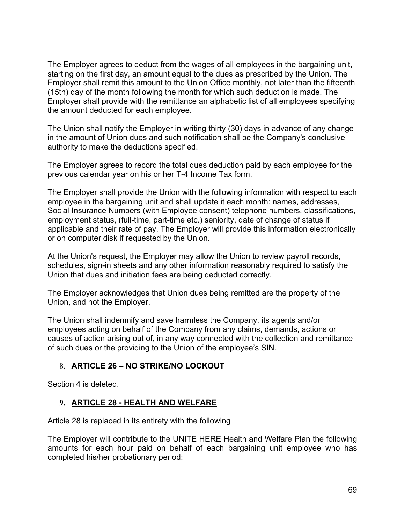The Employer agrees to deduct from the wages of all employees in the bargaining unit, starting on the first day, an amount equal to the dues as prescribed by the Union. The Employer shall remit this amount to the Union Office monthly, not later than the fifteenth (15th) day of the month following the month for which such deduction is made. The Employer shall provide with the remittance an alphabetic list of all employees specifying the amount deducted for each employee.

The Union shall notify the Employer in writing thirty (30) days in advance of any change in the amount of Union dues and such notification shall be the Company's conclusive authority to make the deductions specified.

The Employer agrees to record the total dues deduction paid by each employee for the previous calendar year on his or her T-4 Income Tax form.

The Employer shall provide the Union with the following information with respect to each employee in the bargaining unit and shall update it each month: names, addresses, Social Insurance Numbers (with Employee consent) telephone numbers, classifications, employment status, (full-time, part-time etc.) seniority, date of change of status if applicable and their rate of pay. The Employer will provide this information electronically or on computer disk if requested by the Union.

At the Union's request, the Employer may allow the Union to review payroll records, schedules, sign-in sheets and any other information reasonably required to satisfy the Union that dues and initiation fees are being deducted correctly.

The Employer acknowledges that Union dues being remitted are the property of the Union, and not the Employer.

The Union shall indemnify and save harmless the Company, its agents and/or employees acting on behalf of the Company from any claims, demands, actions or causes of action arising out of, in any way connected with the collection and remittance of such dues or the providing to the Union of the employee's SIN.

### 8. **ARTICLE 26 – NO STRIKE/NO LOCKOUT**

Section 4 is deleted.

### **9. ARTICLE 28 - HEALTH AND WELFARE**

Article 28 is replaced in its entirety with the following

The Employer will contribute to the UNITE HERE Health and Welfare Plan the following amounts for each hour paid on behalf of each bargaining unit employee who has completed his/her probationary period: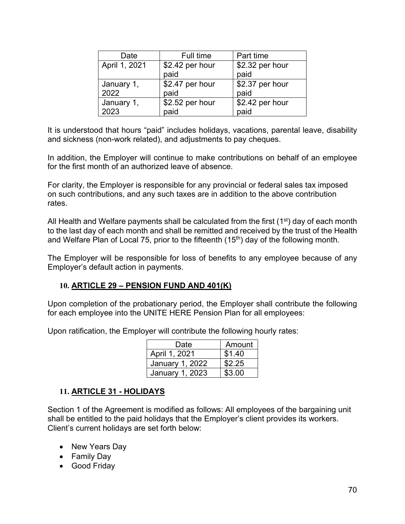| Date          | Full time       | Part time       |
|---------------|-----------------|-----------------|
| April 1, 2021 | \$2.42 per hour | \$2.32 per hour |
|               | paid            | paid            |
| January 1,    | \$2.47 per hour | \$2.37 per hour |
| 2022          | paid            | paid            |
| January 1,    | \$2.52 per hour | \$2.42 per hour |
| 2023          | paid            | paid            |

It is understood that hours "paid" includes holidays, vacations, parental leave, disability and sickness (non-work related), and adjustments to pay cheques.

In addition, the Employer will continue to make contributions on behalf of an employee for the first month of an authorized leave of absence.

For clarity, the Employer is responsible for any provincial or federal sales tax imposed on such contributions, and any such taxes are in addition to the above contribution rates.

All Health and Welfare payments shall be calculated from the first  $(1<sup>st</sup>)$  day of each month to the last day of each month and shall be remitted and received by the trust of the Health and Welfare Plan of Local 75, prior to the fifteenth  $(15<sup>th</sup>)$  day of the following month.

The Employer will be responsible for loss of benefits to any employee because of any Employer's default action in payments.

### **10. ARTICLE 29 – PENSION FUND AND 401(K)**

Upon completion of the probationary period, the Employer shall contribute the following for each employee into the UNITE HERE Pension Plan for all employees:

Upon ratification, the Employer will contribute the following hourly rates:

| Date            | Amount |
|-----------------|--------|
| April 1, 2021   | \$1.40 |
| January 1, 2022 | \$2.25 |
| January 1, 2023 | \$3.00 |

#### **11. ARTICLE 31 - HOLIDAYS**

Section 1 of the Agreement is modified as follows: All employees of the bargaining unit shall be entitled to the paid holidays that the Employer's client provides its workers. Client's current holidays are set forth below:

- New Years Day
- Family Day
- Good Friday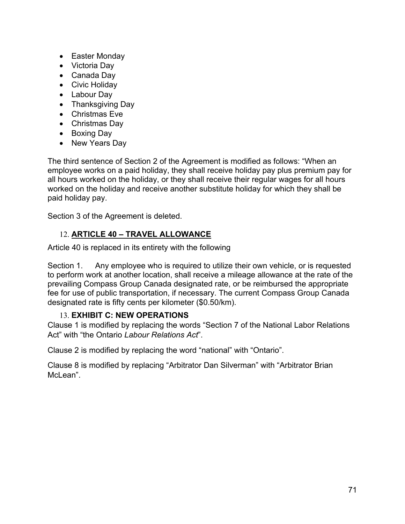- Easter Monday
- Victoria Day
- Canada Day
- Civic Holiday
- Labour Day
- Thanksgiving Day
- Christmas Eve
- Christmas Day
- Boxing Day
- New Years Day

The third sentence of Section 2 of the Agreement is modified as follows: "When an employee works on a paid holiday, they shall receive holiday pay plus premium pay for all hours worked on the holiday, or they shall receive their regular wages for all hours worked on the holiday and receive another substitute holiday for which they shall be paid holiday pay.

Section 3 of the Agreement is deleted.

### 12. **ARTICLE 40 – TRAVEL ALLOWANCE**

Article 40 is replaced in its entirety with the following

Section 1. Any employee who is required to utilize their own vehicle, or is requested to perform work at another location, shall receive a mileage allowance at the rate of the prevailing Compass Group Canada designated rate, or be reimbursed the appropriate fee for use of public transportation, if necessary. The current Compass Group Canada designated rate is fifty cents per kilometer (\$0.50/km).

### 13. **EXHIBIT C: NEW OPERATIONS**

Clause 1 is modified by replacing the words "Section 7 of the National Labor Relations Act" with "the Ontario *Labour Relations Act*".

Clause 2 is modified by replacing the word "national" with "Ontario".

Clause 8 is modified by replacing "Arbitrator Dan Silverman" with "Arbitrator Brian McLean".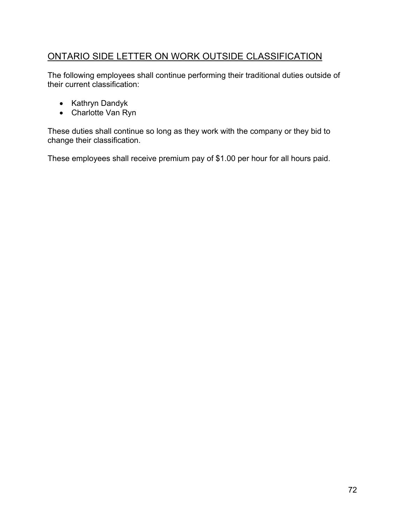# ONTARIO SIDE LETTER ON WORK OUTSIDE CLASSIFICATION

The following employees shall continue performing their traditional duties outside of their current classification:

- Kathryn Dandyk
- Charlotte Van Ryn

These duties shall continue so long as they work with the company or they bid to change their classification.

These employees shall receive premium pay of \$1.00 per hour for all hours paid.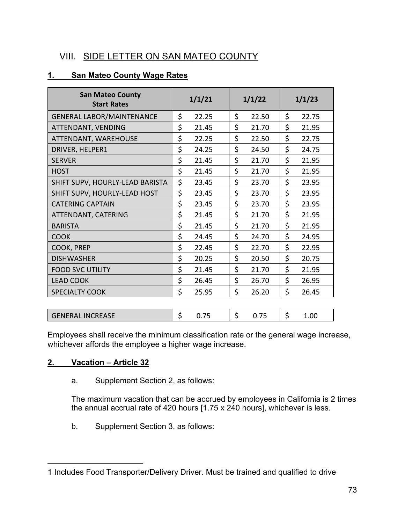### VIII. SIDE LETTER ON SAN MATEO COUNTY

#### **1. San Mateo County Wage Rates**

| <b>San Mateo County</b><br><b>Start Rates</b> | 1/1/21 |       | 1/1/22 |       | 1/1/23 |       |
|-----------------------------------------------|--------|-------|--------|-------|--------|-------|
| <b>GENERAL LABOR/MAINTENANCE</b>              | \$     | 22.25 | \$     | 22.50 | \$     | 22.75 |
| ATTENDANT, VENDING                            | \$     | 21.45 | \$     | 21.70 | \$     | 21.95 |
| ATTENDANT, WAREHOUSE                          | \$     | 22.25 | \$     | 22.50 | \$     | 22.75 |
| DRIVER, HELPER1                               | \$     | 24.25 | \$     | 24.50 | \$     | 24.75 |
| <b>SERVER</b>                                 | \$     | 21.45 | \$     | 21.70 | \$     | 21.95 |
| <b>HOST</b>                                   | \$     | 21.45 | \$     | 21.70 | \$     | 21.95 |
| SHIFT SUPV, HOURLY-LEAD BARISTA               | \$     | 23.45 | \$     | 23.70 | \$     | 23.95 |
| SHIFT SUPV, HOURLY-LEAD HOST                  | \$     | 23.45 | \$     | 23.70 | \$     | 23.95 |
| <b>CATERING CAPTAIN</b>                       | \$     | 23.45 | \$     | 23.70 | \$     | 23.95 |
| ATTENDANT, CATERING                           | \$     | 21.45 | \$     | 21.70 | \$     | 21.95 |
| <b>BARISTA</b>                                | \$     | 21.45 | \$     | 21.70 | \$     | 21.95 |
| <b>COOK</b>                                   | \$     | 24.45 | \$     | 24.70 | \$     | 24.95 |
| COOK, PREP                                    | \$     | 22.45 | \$     | 22.70 | \$     | 22.95 |
| <b>DISHWASHER</b>                             | \$     | 20.25 | \$     | 20.50 | \$     | 20.75 |
| <b>FOOD SVC UTILITY</b>                       | \$     | 21.45 | \$     | 21.70 | \$     | 21.95 |
| <b>LEAD COOK</b>                              | \$     | 26.45 | \$     | 26.70 | \$     | 26.95 |
| <b>SPECIALTY COOK</b>                         | \$     | 25.95 | \$     | 26.20 | \$     | 26.45 |
|                                               |        |       |        |       |        |       |

Employees shall receive the minimum classification rate or the general wage increase, whichever affords the employee a higher wage increase.

GENERAL INCREASE \$ 0.75 \$ 0.75 \$ 1.00

#### **2. Vacation – Article 32**

a. Supplement Section 2, as follows:

The maximum vacation that can be accrued by employees in California is 2 times the annual accrual rate of 420 hours [1.75 x 240 hours], whichever is less.

b. Supplement Section 3, as follows:

<sup>1</sup> Includes Food Transporter/Delivery Driver. Must be trained and qualified to drive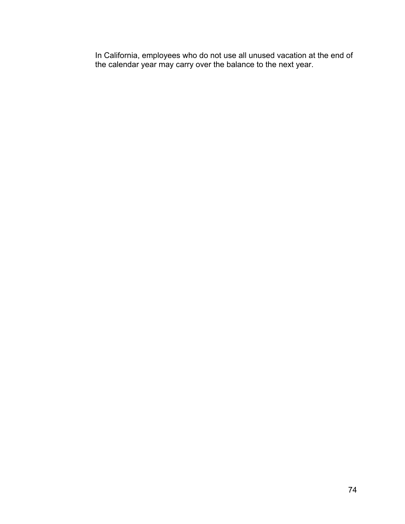In California, employees who do not use all unused vacation at the end of the calendar year may carry over the balance to the next year.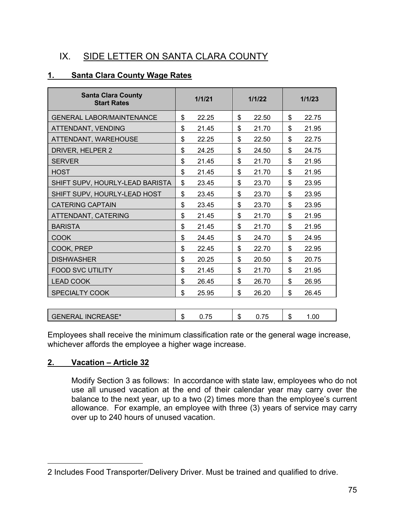### IX. SIDE LETTER ON SANTA CLARA COUNTY

#### **1. Santa Clara County Wage Rates**

| <b>Santa Clara County</b><br><b>Start Rates</b> | 1/1/21 |       | 1/1/22 |       | 1/1/23 |       |
|-------------------------------------------------|--------|-------|--------|-------|--------|-------|
| <b>GENERAL LABOR/MAINTENANCE</b>                | \$     | 22.25 | \$     | 22.50 | \$     | 22.75 |
| ATTENDANT, VENDING                              | \$     | 21.45 | \$     | 21.70 | \$     | 21.95 |
| ATTENDANT, WAREHOUSE                            | \$     | 22.25 | \$     | 22.50 | \$     | 22.75 |
| DRIVER, HELPER 2                                | \$     | 24.25 | \$     | 24.50 | \$     | 24.75 |
| <b>SERVER</b>                                   | \$     | 21.45 | \$     | 21.70 | \$     | 21.95 |
| <b>HOST</b>                                     | \$     | 21.45 | \$     | 21.70 | \$     | 21.95 |
| SHIFT SUPV, HOURLY-LEAD BARISTA                 | \$     | 23.45 | \$     | 23.70 | \$     | 23.95 |
| SHIFT SUPV, HOURLY-LEAD HOST                    | \$     | 23.45 | \$     | 23.70 | \$     | 23.95 |
| <b>CATERING CAPTAIN</b>                         | \$     | 23.45 | \$     | 23.70 | \$     | 23.95 |
| ATTENDANT, CATERING                             | \$     | 21.45 | \$     | 21.70 | \$     | 21.95 |
| <b>BARISTA</b>                                  | \$     | 21.45 | \$     | 21.70 | \$     | 21.95 |
| <b>COOK</b>                                     | \$     | 24.45 | \$     | 24.70 | \$     | 24.95 |
| COOK, PREP                                      | \$     | 22.45 | \$     | 22.70 | \$     | 22.95 |
| <b>DISHWASHER</b>                               | \$     | 20.25 | \$     | 20.50 | \$     | 20.75 |
| <b>FOOD SVC UTILITY</b>                         | \$     | 21.45 | \$     | 21.70 | \$     | 21.95 |
| <b>LEAD COOK</b>                                | \$     | 26.45 | \$     | 26.70 | \$     | 26.95 |
| <b>SPECIALTY COOK</b>                           | \$     | 25.95 | \$     | 26.20 | \$     | 26.45 |
|                                                 |        |       |        |       |        |       |
| <b>GENERAL INCREASE*</b>                        | \$     | 0.75  | \$     | 0.75  | \$     | 1.00  |

Employees shall receive the minimum classification rate or the general wage increase, whichever affords the employee a higher wage increase.

#### **2. Vacation – Article 32**

Modify Section 3 as follows: In accordance with state law, employees who do not use all unused vacation at the end of their calendar year may carry over the balance to the next year, up to a two (2) times more than the employee's current allowance. For example, an employee with three (3) years of service may carry over up to 240 hours of unused vacation.

<sup>2</sup> Includes Food Transporter/Delivery Driver. Must be trained and qualified to drive.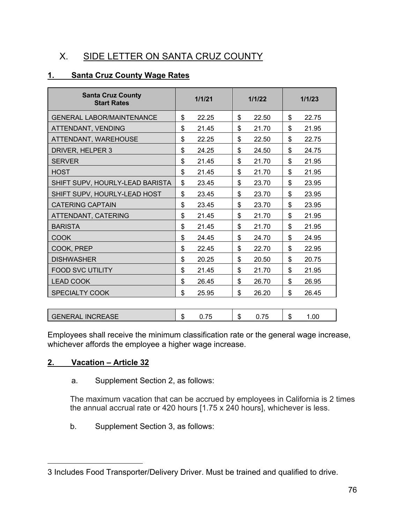## X. SIDE LETTER ON SANTA CRUZ COUNTY

### **1. Santa Cruz County Wage Rates**

| <b>Santa Cruz County</b><br><b>Start Rates</b> | 1/1/21 | 1/1/22 | 1/1/23 |
|------------------------------------------------|--------|--------|--------|
| <b>GENERAL LABOR/MAINTENANCE</b>               | \$     | \$     | \$     |
|                                                | 22.25  | 22.50  | 22.75  |
| ATTENDANT, VENDING                             | \$     | \$     | \$     |
|                                                | 21.45  | 21.70  | 21.95  |
| ATTENDANT, WAREHOUSE                           | \$     | \$     | \$     |
|                                                | 22.25  | 22.50  | 22.75  |
| DRIVER, HELPER 3                               | \$     | \$     | \$     |
|                                                | 24.25  | 24.50  | 24.75  |
| <b>SERVER</b>                                  | \$     | \$     | \$     |
|                                                | 21.45  | 21.70  | 21.95  |
| <b>HOST</b>                                    | \$     | \$     | \$     |
|                                                | 21.45  | 21.70  | 21.95  |
| SHIFT SUPV, HOURLY-LEAD BARISTA                | \$     | \$     | \$     |
|                                                | 23.45  | 23.70  | 23.95  |
| SHIFT SUPV, HOURLY-LEAD HOST                   | \$     | \$     | \$     |
|                                                | 23.45  | 23.70  | 23.95  |
| <b>CATERING CAPTAIN</b>                        | \$     | \$     | \$     |
|                                                | 23.45  | 23.70  | 23.95  |
| ATTENDANT, CATERING                            | \$     | \$     | \$     |
|                                                | 21.45  | 21.70  | 21.95  |
| <b>BARISTA</b>                                 | \$     | \$     | \$     |
|                                                | 21.45  | 21.70  | 21.95  |
| <b>COOK</b>                                    | \$     | \$     | \$     |
|                                                | 24.45  | 24.70  | 24.95  |
| COOK, PREP                                     | \$     | \$     | \$     |
|                                                | 22.45  | 22.70  | 22.95  |
| <b>DISHWASHER</b>                              | \$     | \$     | \$     |
|                                                | 20.25  | 20.50  | 20.75  |
| <b>FOOD SVC UTILITY</b>                        | \$     | \$     | \$     |
|                                                | 21.45  | 21.70  | 21.95  |
| <b>LEAD COOK</b>                               | \$     | \$     | \$     |
|                                                | 26.45  | 26.70  | 26.95  |
| <b>SPECIALTY COOK</b>                          | \$     | \$     | \$     |
|                                                | 25.95  | 26.20  | 26.45  |
|                                                |        |        |        |

| . INCREASE<br><b>GENERAL</b> | œ<br>۰D | $-$ | æ<br>۰D | -- | æ<br>u | .00. |
|------------------------------|---------|-----|---------|----|--------|------|
|                              |         |     |         |    |        |      |

Employees shall receive the minimum classification rate or the general wage increase, whichever affords the employee a higher wage increase.

#### **2. Vacation – Article 32**

a. Supplement Section 2, as follows:

The maximum vacation that can be accrued by employees in California is 2 times the annual accrual rate or 420 hours [1.75 x 240 hours], whichever is less.

b. Supplement Section 3, as follows:

<sup>3</sup> Includes Food Transporter/Delivery Driver. Must be trained and qualified to drive.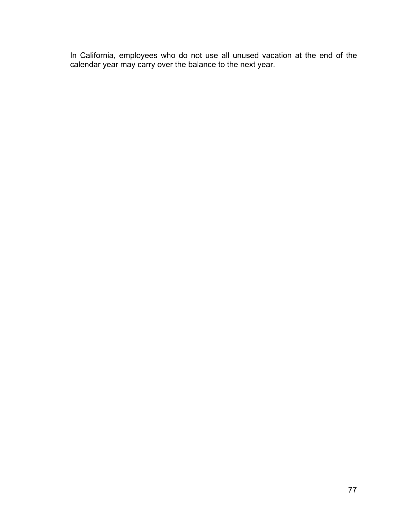In California, employees who do not use all unused vacation at the end of the calendar year may carry over the balance to the next year.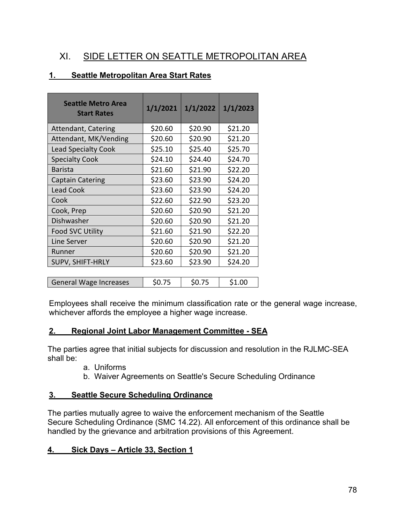### XI. SIDE LETTER ON SEATTLE METROPOLITAN AREA

#### **1. Seattle Metropolitan Area Start Rates**

| <b>Seattle Metro Area</b><br><b>Start Rates</b> | 1/1/2021 | 1/1/2022 | 1/1/2023 |
|-------------------------------------------------|----------|----------|----------|
| Attendant, Catering                             | \$20.60  | \$20.90  | \$21.20  |
| Attendant, MK/Vending                           | \$20.60  | \$20.90  | \$21.20  |
| <b>Lead Specialty Cook</b>                      | \$25.10  | \$25.40  | \$25.70  |
| <b>Specialty Cook</b>                           | \$24.10  | \$24.40  | \$24.70  |
| <b>Barista</b>                                  | \$21.60  | \$21.90  | \$22.20  |
| <b>Captain Catering</b>                         | \$23.60  | \$23.90  | \$24.20  |
| <b>Lead Cook</b>                                | \$23.60  | \$23.90  | \$24.20  |
| Cook                                            | \$22.60  | \$22.90  | \$23.20  |
| Cook, Prep                                      | \$20.60  | \$20.90  | \$21.20  |
| Dishwasher                                      | \$20.60  | \$20.90  | \$21.20  |
| <b>Food SVC Utility</b>                         | \$21.60  | \$21.90  | \$22.20  |
| Line Server                                     | \$20.60  | \$20.90  | \$21.20  |
| Runner                                          | \$20.60  | \$20.90  | \$21.20  |
| SUPV, SHIFT-HRLY                                | \$23.60  | \$23.90  | \$24.20  |
|                                                 |          |          |          |
| <b>General Wage Increases</b>                   | \$0.75   | \$0.75   | \$1.00   |

Employees shall receive the minimum classification rate or the general wage increase, whichever affords the employee a higher wage increase.

#### **2. Regional Joint Labor Management Committee - SEA**

The parties agree that initial subjects for discussion and resolution in the RJLMC-SEA shall be:

- a. Uniforms
- b. Waiver Agreements on Seattle's Secure Scheduling Ordinance

#### **3. Seattle Secure Scheduling Ordinance**

The parties mutually agree to waive the enforcement mechanism of the Seattle Secure Scheduling Ordinance (SMC 14.22). All enforcement of this ordinance shall be handled by the grievance and arbitration provisions of this Agreement.

#### **4. Sick Days – Article 33, Section 1**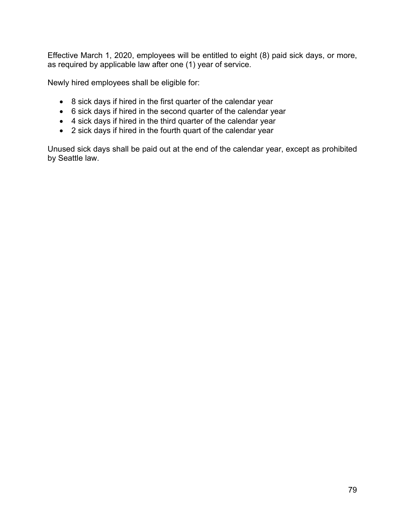Effective March 1, 2020, employees will be entitled to eight (8) paid sick days, or more, as required by applicable law after one (1) year of service.

Newly hired employees shall be eligible for:

- 8 sick days if hired in the first quarter of the calendar year
- 6 sick days if hired in the second quarter of the calendar year
- 4 sick days if hired in the third quarter of the calendar year
- 2 sick days if hired in the fourth quart of the calendar year

Unused sick days shall be paid out at the end of the calendar year, except as prohibited by Seattle law.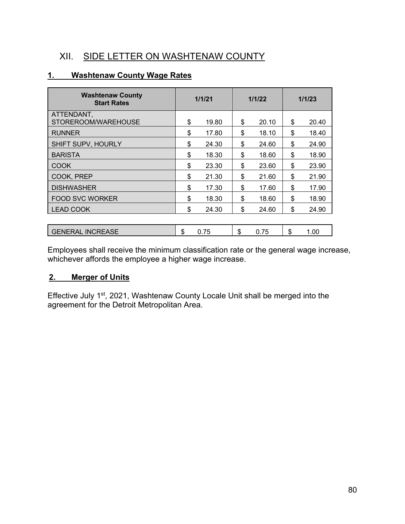### XII. SIDE LETTER ON WASHTENAW COUNTY

#### **1. Washtenaw County Wage Rates**

| <b>Washtenaw County</b><br><b>Start Rates</b> | 1/1/21 |       | 1/1/22 |       | 1/1/23 |       |
|-----------------------------------------------|--------|-------|--------|-------|--------|-------|
| ATTENDANT,<br>STOREROOM/WAREHOUSE             | \$     | 19.80 | \$     | 20.10 | \$     | 20.40 |
| <b>RUNNER</b>                                 | \$     | 17.80 | \$     | 18.10 | \$     | 18.40 |
| SHIFT SUPV, HOURLY                            | \$     | 24.30 | \$     | 24.60 | \$     | 24.90 |
| <b>BARISTA</b>                                | \$     | 18.30 | \$     | 18.60 | \$     | 18.90 |
| COOK                                          | \$     | 23.30 | \$     | 23.60 | \$     | 23.90 |
| COOK, PREP                                    | \$     | 21.30 | \$     | 21.60 | \$     | 21.90 |
| <b>DISHWASHER</b>                             | \$     | 17.30 | \$     | 17.60 | \$     | 17.90 |
| <b>FOOD SVC WORKER</b>                        | \$     | 18.30 | \$     | 18.60 | \$     | 18.90 |
| <b>LEAD COOK</b>                              | \$     | 24.30 | \$     | 24.60 | \$     | 24.90 |
|                                               |        |       |        |       |        |       |
| <b>GENERAL INCREASE</b>                       | \$     | 0.75  | \$     | 0.75  | \$     | 1.00  |

Employees shall receive the minimum classification rate or the general wage increase, whichever affords the employee a higher wage increase.

#### **2. Merger of Units**

Effective July 1st, 2021, Washtenaw County Locale Unit shall be merged into the agreement for the Detroit Metropolitan Area.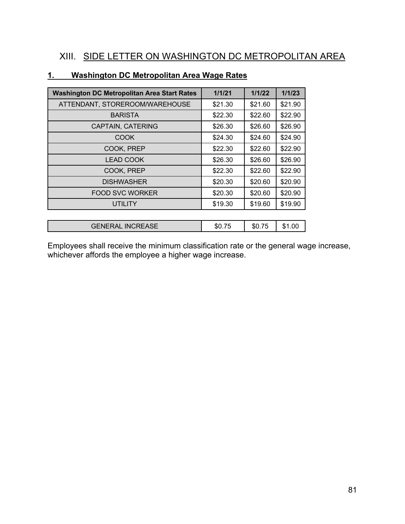## XIII. SIDE LETTER ON WASHINGTON DC METROPOLITAN AREA

| <b>Washington DC Metropolitan Area Start Rates</b> | 1/1/21  | 1/1/22  | 1/1/23  |
|----------------------------------------------------|---------|---------|---------|
| ATTENDANT, STOREROOM/WAREHOUSE                     | \$21.30 | \$21.60 | \$21.90 |
| <b>BARISTA</b>                                     | \$22.30 | \$22.60 | \$22.90 |
| <b>CAPTAIN, CATERING</b>                           | \$26.30 | \$26.60 | \$26.90 |
| <b>COOK</b>                                        | \$24.30 | \$24.60 | \$24.90 |
| COOK, PREP                                         | \$22.30 | \$22.60 | \$22.90 |
| <b>LEAD COOK</b>                                   | \$26.30 | \$26.60 | \$26.90 |
| COOK, PREP                                         | \$22.30 | \$22.60 | \$22.90 |
| <b>DISHWASHER</b>                                  | \$20.30 | \$20.60 | \$20.90 |
| <b>FOOD SVC WORKER</b>                             | \$20.30 | \$20.60 | \$20.90 |
| <b>UTILITY</b>                                     | \$19.30 | \$19.60 | \$19.90 |
|                                                    |         |         |         |
| <b>GENERAL INCREASE</b>                            | \$0.75  | \$0.75  | \$1.00  |

#### **1. Washington DC Metropolitan Area Wage Rates**

Employees shall receive the minimum classification rate or the general wage increase, whichever affords the employee a higher wage increase.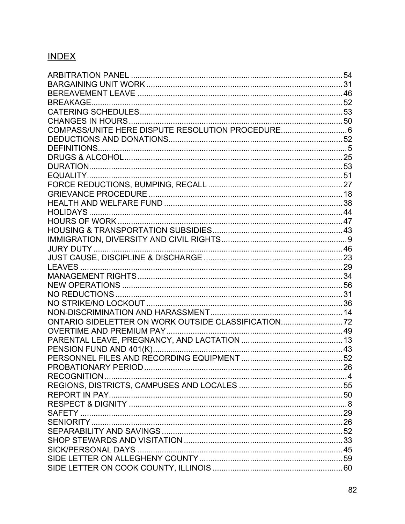# **INDEX**

| COMPASS/UNITE HERE DISPUTE RESOLUTION PROCEDURE 6   |  |
|-----------------------------------------------------|--|
|                                                     |  |
|                                                     |  |
|                                                     |  |
|                                                     |  |
|                                                     |  |
|                                                     |  |
|                                                     |  |
|                                                     |  |
|                                                     |  |
|                                                     |  |
|                                                     |  |
|                                                     |  |
|                                                     |  |
|                                                     |  |
|                                                     |  |
|                                                     |  |
|                                                     |  |
|                                                     |  |
|                                                     |  |
|                                                     |  |
| ONTARIO SIDELETTER ON WORK OUTSIDE CLASSIFICATION72 |  |
|                                                     |  |
|                                                     |  |
|                                                     |  |
|                                                     |  |
|                                                     |  |
|                                                     |  |
|                                                     |  |
|                                                     |  |
|                                                     |  |
|                                                     |  |
|                                                     |  |
|                                                     |  |
|                                                     |  |
|                                                     |  |
|                                                     |  |
|                                                     |  |